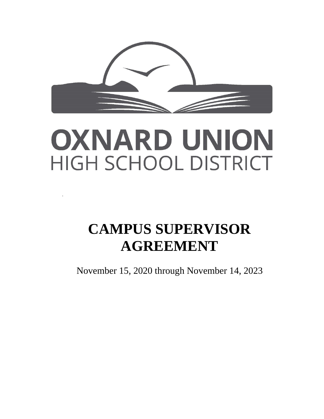

# OXNARD UNION HIGH SCHOOL DISTRICT

## **CAMPUS SUPERVISOR AGREEMENT**

November 15, 2020 through November 14, 2023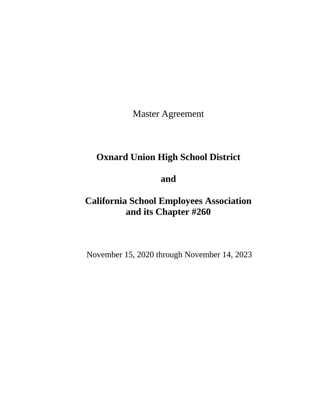Master Agreement

## **Oxnard Union High School District**

**and**

## **California School Employees Association and its Chapter #260**

November 15, 2020 through November 14, 2023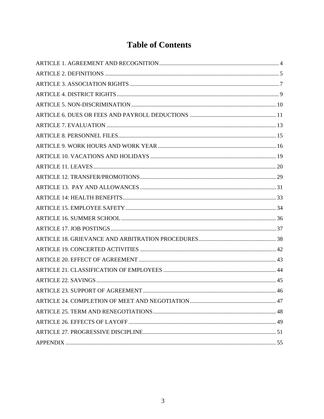## **Table of Contents**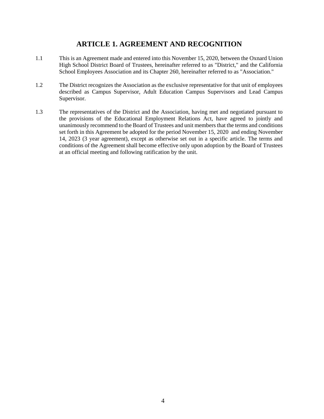## **ARTICLE 1. AGREEMENT AND RECOGNITION**

- <span id="page-3-0"></span>1.1 This is an Agreement made and entered into this November 15, 2020, between the Oxnard Union High School District Board of Trustees, hereinafter referred to as "District," and the California School Employees Association and its Chapter 260, hereinafter referred to as "Association."
- 1.2 The District recognizes the Association as the exclusive representative for that unit of employees described as Campus Supervisor, Adult Education Campus Supervisors and Lead Campus Supervisor.
- 1.3 The representatives of the District and the Association, having met and negotiated pursuant to the provisions of the Educational Employment Relations Act, have agreed to jointly and unanimously recommend to the Board of Trustees and unit members that the terms and conditions set forth in this Agreement be adopted for the period November 15, 2020 and ending November 14, 2023 (3 year agreement), except as otherwise set out in a specific article. The terms and conditions of the Agreement shall become effective only upon adoption by the Board of Trustees at an official meeting and following ratification by the unit.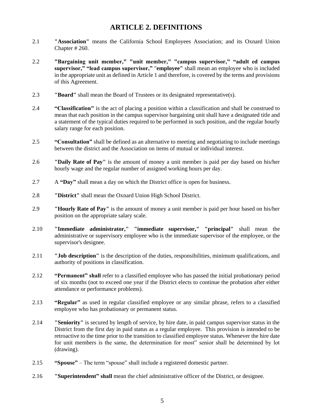## **ARTICLE 2. DEFINITIONS**

- <span id="page-4-0"></span>2.1 **"Association"** means the California School Employees Association; and its Oxnard Union Chapter # 260.
- 2.2 **"Bargaining unit member," "unit member," "campus supervisor," "adult ed campus supervisor," "lead campus supervisor,"** "**employee"** shall mean an employee who is included in the appropriate unit as defined in Article 1 and therefore, is covered by the terms and provisions of this Agreement.
- 2.3 **"Board"** shall mean the Board of Trustees or its designated representative(s).
- 2.4 **"Classification"** is the act of placing a position within a classification and shall be construed to mean that each position in the campus supervisor bargaining unit shall have a designated title and a statement of the typical duties required to be performed in such position, and the regular hourly salary range for each position.
- 2.5 **"Consultation"** shall be defined as an alternative to meeting and negotiating to include meetings between the district and the Association on items of mutual or individual interest.
- 2.6 **"Daily Rate of Pay"** is the amount of money a unit member is paid per day based on his/her hourly wage and the regular number of assigned working hours per day.
- 2.7 A **"Day"** shall mean a day on which the District office is open for business.
- 2.8 **"District"** shall mean the Oxnard Union High School District.
- 2.9 **"Hourly Rate of Pay"** is the amount of money a unit member is paid per hour based on his/her position on the appropriate salary scale.
- 2.10 **"Immediate administrator," "immediate supervisor," "principal"** shall mean the administrative or supervisory employee who is the immediate supervisor of the employee, or the supervisor's designee.
- 2.11 **"Job description"** is the description of the duties, responsibilities, minimum qualifications, and authority of positions in classification.
- 2.12 **"Permanent" shall** refer to a classified employee who has passed the initial probationary period of six months (not to exceed one year if the District elects to continue the probation after either attendance or performance problems).
- 2.13 **"Regular"** as used in regular classified employee or any similar phrase, refers to a classified employee who has probationary or permanent status.
- 2.14 **"Seniority"** is secured by length of service, by hire date, in paid campus supervisor status in the District from the first day in paid status as a regular employee. This provision is intended to be retroactive to the time prior to the transition to classified employee status. Whenever the hire date for unit members is the same, the determination for most" senior shall be determined by lot (drawing).
- 2.15 **"Spouse"**  The term "spouse" shall include a registered domestic partner.
- 2.16 **"Superintendent" shall** mean the chief administrative officer of the District, or designee.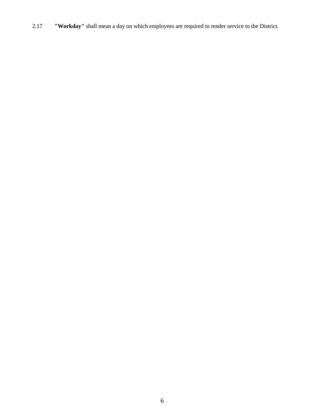2.17 **"Workday"** shall mean a day on which employees are required to render service to the District.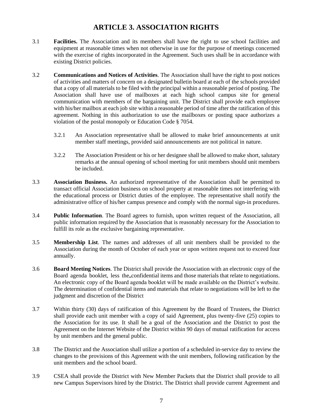## **ARTICLE 3. ASSOCIATION RIGHTS**

- <span id="page-6-0"></span>3.1 **Facilities.** The Association and its members shall have the right to use school facilities and equipment at reasonable times when not otherwise in use for the purpose of meetings concerned with the exercise of rights incorporated in the Agreement. Such uses shall be in accordance with existing District policies.
- 3.2 **Communications and Notices of Activities**. The Association shall have the right to post notices of activities and matters of concern on a designated bulletin board at each of the schools provided that a copy of all materials to be filed with the principal within a reasonable period of posting. The Association shall have use of mailboxes at each high school campus site for general communication with members of the bargaining unit. The District shall provide each employee with his/her mailbox at each job site within a reasonable period of time after the ratification of this agreement. Nothing in this authorization to use the mailboxes or posting space authorizes a violation of the postal monopoly or Education Code § 7054.
	- 3.2.1 An Association representative shall be allowed to make brief announcements at unit member staff meetings, provided said announcements are not political in nature.
	- 3.2.2 The Association President or his or her designee shall be allowed to make short, salutary remarks at the annual opening of school meeting for unit members should unit members be included.
- 3.3 **Association Business.** An authorized representative of the Association shall be permitted to transact official Association business on school property at reasonable times not interfering with the educational process or District duties of the employee. The representative shall notify the administrative office of his/her campus presence and comply with the normal sign-in procedures.
- 3.4 **Public Information**. The Board agrees to furnish, upon written request of the Association, all public information required by the Association that is reasonably necessary for the Association to fulfill its role as the exclusive bargaining representative.
- 3.5 **Membership List**. The names and addresses of all unit members shall be provided to the Association during the month of October of each year or upon written request not to exceed four annually.
- 3.6 **Board Meeting Notices**. The District shall provide the Association with an electronic copy of the Board agenda booklet, less the confidential items and those materials that relate to negotiations. An electronic copy of the Board agenda booklet will be made available on the District's website. The determination of confidential items and materials that relate to negotiations will be left to the judgment and discretion of the District
- 3.7 Within thirty (30) days of ratification of this Agreement by the Board of Trustees, the District shall provide each unit member with a copy of said Agreement, plus twenty-five (25) copies to the Association for its use. It shall be a goal of the Association and the District to post the Agreement on the Internet Website of the District within 90 days of mutual ratification for access by unit members and the general public.
- 3.8 The District and the Association shall utilize a portion of a scheduled in-service day to review the changes to the provisions of this Agreement with the unit members, following ratification by the unit members and the school board.
- 3.9 CSEA shall provide the District with New Member Packets that the District shall provide to all new Campus Supervisors hired by the District. The District shall provide current Agreement and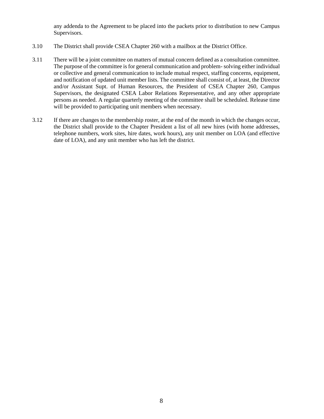any addenda to the Agreement to be placed into the packets prior to distribution to new Campus Supervisors.

- 3.10 The District shall provide CSEA Chapter 260 with a mailbox at the District Office.
- 3.11 There will be a joint committee on matters of mutual concern defined as a consultation committee. The purpose of the committee is for general communication and problem-solving either individual or collective and general communication to include mutual respect, staffing concerns, equipment, and notification of updated unit member lists. The committee shall consist of, at least, the Director and/or Assistant Supt. of Human Resources, the President of CSEA Chapter 260, Campus Supervisors, the designated CSEA Labor Relations Representative, and any other appropriate persons as needed. A regular quarterly meeting of the committee shall be scheduled. Release time will be provided to participating unit members when necessary.
- 3.12 If there are changes to the membership roster, at the end of the month in which the changes occur, the District shall provide to the Chapter President a list of all new hires (with home addresses, telephone numbers, work sites, hire dates, work hours), any unit member on LOA (and effective date of LOA), and any unit member who has left the district.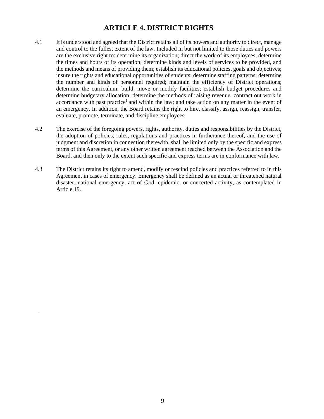## **ARTICLE 4. DISTRICT RIGHTS**

- <span id="page-8-0"></span>4.1 It is understood and agreed that the District retains all of its powers and authority to direct, manage and control to the fullest extent of the law. Included in but not limited to those duties and powers are the exclusive right to: determine its organization; direct the work of its employees; determine the times and hours of its operation; determine kinds and levels of services to be provided, and the methods and means of providing them; establish its educational policies, goals and objectives; insure the rights and educational opportunities of students; determine staffing patterns; determine the number and kinds of personnel required; maintain the efficiency of District operations; determine the curriculum; build, move or modify facilities; establish budget procedures and determine budgetary allocation; determine the methods of raising revenue; contract out work in accordance with past practice<sup>1</sup> and within the law; and take action on any matter in the event of an emergency. In addition, the Board retains the right to hire, classify, assign, reassign, transfer, evaluate, promote, terminate, and discipline employees.
- 4.2 The exercise of the foregoing powers, rights, authority, duties and responsibilities by the District, the adoption of policies, rules, regulations and practices in furtherance thereof, and the use of judgment and discretion in connection therewith, shall be limited only by the specific and express terms of this Agreement, or any other written agreement reached between the Association and the Board, and then only to the extent such specific and express terms are in conformance with law.
- 4.3 The District retains its right to amend, modify or rescind policies and practices referred to in this Agreement in cases of emergency. Emergency shall be defined as an actual or threatened natural disaster, national emergency, act of God, epidemic, or concerted activity, as contemplated in Article 19.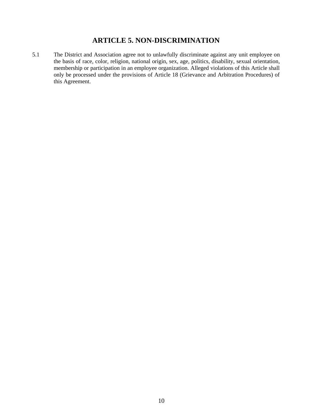## **ARTICLE 5. NON-DISCRIMINATION**

<span id="page-9-0"></span>5.1 The District and Association agree not to unlawfully discriminate against any unit employee on the basis of race, color, religion, national origin, sex, age, politics, disability, sexual orientation, membership or participation in an employee organization. Alleged violations of this Article shall only be processed under the provisions of Article 18 (Grievance and Arbitration Procedures) of this Agreement.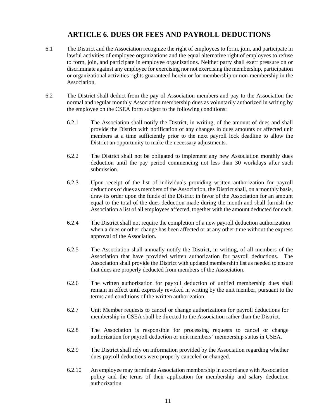## **ARTICLE 6. DUES OR FEES AND PAYROLL DEDUCTIONS**

- <span id="page-10-0"></span>6.1 The District and the Association recognize the right of employees to form, join, and participate in lawful activities of employee organizations and the equal alternative right of employees to refuse to form, join, and participate in employee organizations. Neither party shall exert pressure on or discriminate against any employee for exercising nor not exercising the membership, participation or organizational activities rights guaranteed herein or for membership or non-membership in the Association.
- 6.2 The District shall deduct from the pay of Association members and pay to the Association the normal and regular monthly Association membership dues as voluntarily authorized in writing by the employee on the CSEA form subject to the following conditions:
	- 6.2.1 The Association shall notify the District, in writing, of the amount of dues and shall provide the District with notification of any changes in dues amounts or affected unit members at a time sufficiently prior to the next payroll lock deadline to allow the District an opportunity to make the necessary adjustments.
	- 6.2.2 The District shall not be obligated to implement any new Association monthly dues deduction until the pay period commencing not less than 30 workdays after such submission.
	- 6.2.3 Upon receipt of the list of individuals providing written authorization for payroll deductions of dues as members of the Association, the District shall, on a monthly basis, draw its order upon the funds of the District in favor of the Association for an amount equal to the total of the dues deduction made during the month and shall furnish the Association a list of all employees affected, together with the amount deducted for each.
	- 6.2.4 The District shall not require the completion of a new payroll deduction authorization when a dues or other change has been affected or at any other time without the express approval of the Association.
	- 6.2.5 The Association shall annually notify the District, in writing, of all members of the Association that have provided written authorization for payroll deductions. The Association shall provide the District with updated membership list as needed to ensure that dues are properly deducted from members of the Association.
	- 6.2.6 The written authorization for payroll deduction of unified membership dues shall remain in effect until expressly revoked in writing by the unit member, pursuant to the terms and conditions of the written authorization.
	- 6.2.7 Unit Member requests to cancel or change authorizations for payroll deductions for membership in CSEA shall be directed to the Association rather than the District.
	- 6.2.8 The Association is responsible for processing requests to cancel or change authorization for payroll deduction or unit members' membership status in CSEA.
	- 6.2.9 The District shall rely on information provided by the Association regarding whether dues payroll deductions were properly canceled or changed.
	- 6.2.10 An employee may terminate Association membership in accordance with Association policy and the terms of their application for membership and salary deduction authorization.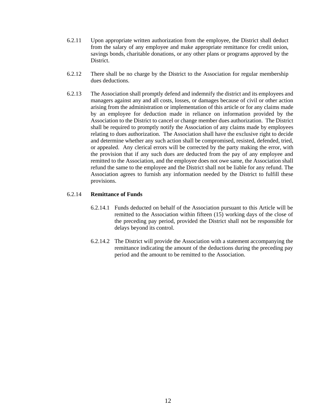- 6.2.11 Upon appropriate written authorization from the employee, the District shall deduct from the salary of any employee and make appropriate remittance for credit union, savings bonds, charitable donations, or any other plans or programs approved by the District.
- 6.2.12 There shall be no charge by the District to the Association for regular membership dues deductions.
- 6.2.13 The Association shall promptly defend and indemnify the district and its employees and managers against any and all costs, losses, or damages because of civil or other action arising from the administration or implementation of this article or for any claims made by an employee for deduction made in reliance on information provided by the Association to the District to cancel or change member dues authorization. The District shall be required to promptly notify the Association of any claims made by employees relating to dues authorization. The Association shall have the exclusive right to decide and determine whether any such action shall be compromised, resisted, defended, tried, or appealed. Any clerical errors will be corrected by the party making the error, with the provision that if any such dues are deducted from the pay of any employee and remitted to the Association, and the employee does not owe same, the Association shall refund the same to the employee and the District shall not be liable for any refund. The Association agrees to furnish any information needed by the District to fulfill these provisions.

#### 6.2.14 **Remittance of Funds**

- 6.2.14.1 Funds deducted on behalf of the Association pursuant to this Article will be remitted to the Association within fifteen (15) working days of the close of the preceding pay period, provided the District shall not be responsible for delays beyond its control.
- 6.2.14.2 The District will provide the Association with a statement accompanying the remittance indicating the amount of the deductions during the preceding pay period and the amount to be remitted to the Association.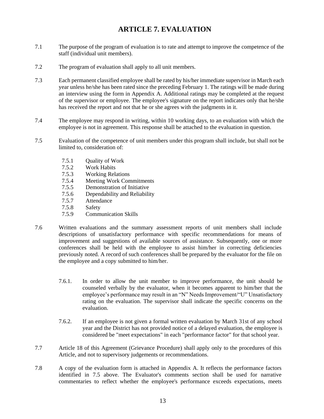## **ARTICLE 7. EVALUATION**

- <span id="page-12-0"></span>7.1 The purpose of the program of evaluation is to rate and attempt to improve the competence of the staff (individual unit members).
- 7.2 The program of evaluation shall apply to all unit members.
- 7.3 Each permanent classified employee shall be rated by his/her immediate supervisor in March each year unless he/she has been rated since the preceding February 1. The ratings will be made during an interview using the form in Appendix A. Additional ratings may be completed at the request of the supervisor or employee. The employee's signature on the report indicates only that he/she has received the report and not that he or she agrees with the judgments in it.
- 7.4 The employee may respond in writing, within 10 working days, to an evaluation with which the employee is not in agreement. This response shall be attached to the evaluation in question.
- 7.5 Evaluation of the competence of unit members under this program shall include, but shall not be limited to, consideration of:
	- 7.5.1 Quality of Work
	- 7.5.2 Work Habits
	- 7.5.3 Working Relations
	- 7.5.4 Meeting Work Commitments
	- 7.5.5 Demonstration of Initiative
	- 7.5.6 Dependability and Reliability<br>7.5.7 Attendance
	- Attendance
	- 7.5.8 Safety
	- 7.5.9 Communication Skills
- 7.6 Written evaluations and the summary assessment reports of unit members shall include descriptions of unsatisfactory performance with specific recommendations for means of improvement and suggestions of available sources of assistance. Subsequently, one or more conferences shall be held with the employee to assist him/her in correcting deficiencies previously noted. A record of such conferences shall be prepared by the evaluator for the file on the employee and a copy submitted to him/her.
	- 7.6.1. In order to allow the unit member to improve performance, the unit should be counseled verbally by the evaluator, when it becomes apparent to him/her that the employee's performance may result in an "N" Needs Improvement/"U" Unsatisfactory rating on the evaluation. The supervisor shall indicate the specific concerns on the evaluation.
	- 7.6.2. If an employee is not given a formal written evaluation by March 31st of any school year and the District has not provided notice of a delayed evaluation, the employee is considered be "meet expectations" in each "performance factor" for that school year.
- 7.7 Article 18 of this Agreement (Grievance Procedure) shall apply only to the procedures of this Article, and not to supervisory judgements or recommendations.
- 7.8 A copy of the evaluation form is attached in Appendix A. It reflects the performance factors identified in 7.5 above. The Evaluator's comments section shall be used for narrative commentaries to reflect whether the employee's performance exceeds expectations, meets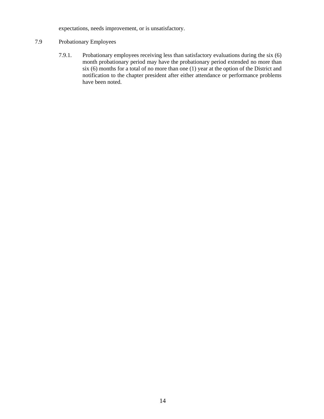expectations, needs improvement, or is unsatisfactory.

## 7.9 Probationary Employees

7.9.1. Probationary employees receiving less than satisfactory evaluations during the six (6) month probationary period may have the probationary period extended no more than six (6) months for a total of no more than one (1) year at the option of the District and notification to the chapter president after either attendance or performance problems have been noted.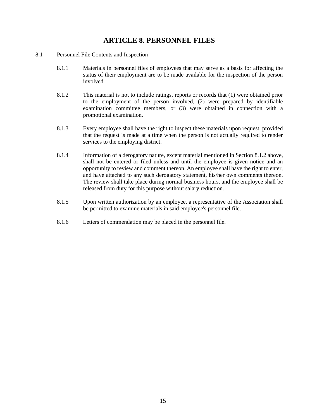## **ARTICLE 8. PERSONNEL FILES**

- <span id="page-14-0"></span>8.1 Personnel File Contents and Inspection
	- 8.1.1 Materials in personnel files of employees that may serve as a basis for affecting the status of their employment are to be made available for the inspection of the person involved.
	- 8.1.2 This material is not to include ratings, reports or records that (1) were obtained prior to the employment of the person involved, (2) were prepared by identifiable examination committee members, or (3) were obtained in connection with a promotional examination.
	- 8.1.3 Every employee shall have the right to inspect these materials upon request, provided that the request is made at a time when the person is not actually required to render services to the employing district.
	- 8.1.4 Information of a derogatory nature, except material mentioned in Section 8.1.2 above, shall not be entered or filed unless and until the employee is given notice and an opportunity to review and comment thereon. An employee shall have the right to enter, and have attached to any such derogatory statement, his/her own comments thereon. The review shall take place during normal business hours, and the employee shall be released from duty for this purpose without salary reduction.
	- 8.1.5 Upon written authorization by an employee, a representative of the Association shall be permitted to examine materials in said employee's personnel file.
	- 8.1.6 Letters of commendation may be placed in the personnel file.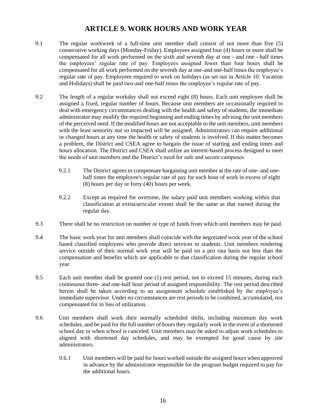## **ARTICLE 9. WORK HOURS AND WORK YEAR**

- <span id="page-15-0"></span>9.1 The regular workweek of a full-time unit member shall consist of not more than five (5) consecutive working days (Monday-Friday). Employees assigned four (4) hours or more shall be compensated for all work performed on the sixth and seventh day at one - and one - half times the employees' regular rate of pay. Employees assigned fewer than four hours shall be compensated for all work performed on the seventh day at one-and one-half times the employee's regular rate of pay. Employees required to work on holidays (as set out in Article 10: Vacation and Holidays) shall be paid two-and one-half times the employee's regular rate of pay.
- 9.2 The length of a regular workday shall not exceed eight (8) hours. Each unit employee shall be assigned a fixed, regular number of hours. Because unit members are occasionally required to deal with emergency circumstances dealing with the health and safety of students, the immediate administrator may modify the required beginning and ending times by advising the unit members of the perceived need. If the modified hours are not acceptable to the unit members, unit members with the least seniority not so impacted will be assigned. Administrators can require additional or changed hours at any time the health or safety of students is involved. If this matter becomes a problem, the District and CSEA agree to bargain the issue of starting and ending times and hours allocation. The District and CSEA shall utilize an interest-based process designed to meet the needs of unit members and the District's need for safe and secure campuses.
	- 9.2.1 The District agrees to compensate bargaining unit member at the rate of one- and onehalf times the employee's regular rate of pay for each hour of work in excess of eight (8) hours per day or forty (40) hours per week.
	- 9.2.2 Except as required for overtime, the salary paid unit members working within that classification at extracurricular events shall be the same as that earned during the regular day.
- 9.3 There shall be no restriction on number or type of funds from which unit members may be paid.
- 9.4 The basic work year for unit members shall coincide with the negotiated work year of the school based classified employees who provide direct services to students. Unit members rendering service outside of their normal work year will be paid on a pro rata basis not less than the compensation and benefits which are applicable to that classification during the regular school year.
- 9.5 Each unit member shall be granted one (1) rest period, not to exceed 15 minutes, during each continuous three- and one-half hour period of assigned responsibility. The rest period described herein shall be taken according to an assignment schedule established by the employee's immediate supervisor. Under no circumstances are rest periods to be combined, accumulated, nor compensated for in lieu of utilization.
- 9.6 Unit members shall work their normally scheduled shifts, including minimum day work schedules, and be paid for the full number of hours they regularly work in the event of a shortened school day or when school is canceled. Unit members may be asked to adjust work schedules to aligned with shortened day schedules, and may be exempted for good cause by site administrators.
	- 9.6.1 Unit members will be paid for hours worked outside the assigned hours when approved in advance by the administrator responsible for the program budget required to pay for the additional hours.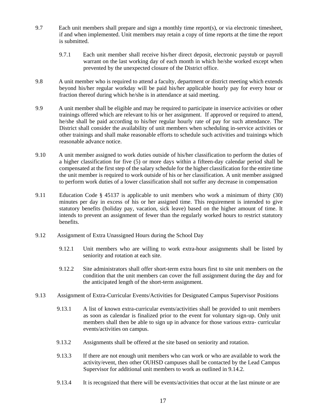- 9.7 Each unit members shall prepare and sign a monthly time report(s), or via electronic timesheet, if and when implemented. Unit members may retain a copy of time reports at the time the report is submitted.
	- 9.7.1 Each unit member shall receive his/her direct deposit, electronic paystub or payroll warrant on the last working day of each month in which he/she worked except when prevented by the unexpected closure of the District office.
- 9.8 A unit member who is required to attend a faculty, department or district meeting which extends beyond his/her regular workday will be paid his/her applicable hourly pay for every hour or fraction thereof during which he/she is in attendance at said meeting.
- 9.9 A unit member shall be eligible and may be required to participate in inservice activities or other trainings offered which are relevant to his or her assignment. If approved or required to attend, he/she shall be paid according to his/her regular hourly rate of pay for such attendance. The District shall consider the availability of unit members when scheduling in-service activities or other trainings and shall make reasonable efforts to schedule such activities and trainings which reasonable advance notice.
- 9.10 A unit member assigned to work duties outside of his/her classification to perform the duties of a higher classification for five (5) or more days within a fifteen-day calendar period shall be compensated at the first step of the salary schedule for the higher classification for the entire time the unit member is required to work outside of his or her classification. A unit member assigned to perform work duties of a lower classification shall not suffer any decrease in compensation
- 9.11 Education Code § 45137 is applicable to unit members who work a minimum of thirty (30) minutes per day in excess of his or her assigned time. This requirement is intended to give statutory benefits (holiday pay, vacation, sick leave) based on the higher amount of time. It intends to prevent an assignment of fewer than the regularly worked hours to restrict statutory benefits.
- 9.12 Assignment of Extra Unassigned Hours during the School Day
	- 9.12.1 Unit members who are willing to work extra-hour assignments shall be listed by seniority and rotation at each site.
	- 9.12.2 Site administrators shall offer short-term extra hours first to site unit members on the condition that the unit members can cover the full assignment during the day and for the anticipated length of the short-term assignment.
- 9.13 Assignment of Extra-Curricular Events/Activities for Designated Campus Supervisor Positions
	- 9.13.1 A list of known extra-curricular events/activities shall be provided to unit members as soon as calendar is finalized prior to the event for voluntary sign-up. Only unit members shall then be able to sign up in advance for those various extra- curricular events/activities on campus.
	- 9.13.2 Assignments shall be offered at the site based on seniority and rotation.
	- 9.13.3 If there are not enough unit members who can work or who are available to work the activity/event, then other OUHSD campuses shall be contacted by the Lead Campus Supervisor for additional unit members to work as outlined in 9.14.2.
	- 9.13.4 It is recognized that there will be events/activities that occur at the last minute or are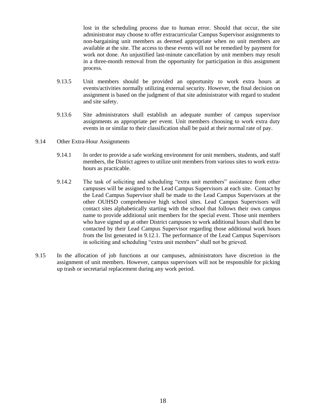lost in the scheduling process due to human error. Should that occur, the site administrator may choose to offer extracurricular Campus Supervisor assignments to non-bargaining unit members as deemed appropriate when no unit members are available at the site. The access to these events will not be remedied by payment for work not done. An unjustified last-minute cancellation by unit members may result in a three-month removal from the opportunity for participation in this assignment process.

- 9.13.5 Unit members should be provided an opportunity to work extra hours at events/activities normally utilizing external security. However, the final decision on assignment is based on the judgment of that site administrator with regard to student and site safety.
- 9.13.6 Site administrators shall establish an adequate number of campus supervisor assignments as appropriate per event. Unit members choosing to work extra duty events in or similar to their classification shall be paid at their normal rate of pay.
- 9.14 Other Extra-Hour Assignments
	- 9.14.1 In order to provide a safe working environment for unit members, students, and staff members, the District agrees to utilize unit members from various sites to work extrahours as practicable.
	- 9.14.2 The task of soliciting and scheduling "extra unit members" assistance from other campuses will be assigned to the Lead Campus Supervisors at each site. Contact by the Lead Campus Supervisor shall be made to the Lead Campus Supervisors at the other OUHSD comprehensive high school sites. Lead Campus Supervisors will contact sites alphabetically starting with the school that follows their own campus name to provide additional unit members for the special event. Those unit members who have signed up at other District campuses to work additional hours shall then be contacted by their Lead Campus Supervisor regarding those additional work hours from the list generated in 9.12.1. The performance of the Lead Campus Supervisors in soliciting and scheduling "extra unit members" shall not be grieved.
- 9.15 In the allocation of job functions at our campuses, administrators have discretion in the assignment of unit members. However, campus supervisors will not be responsible for picking up trash or secretarial replacement during any work period.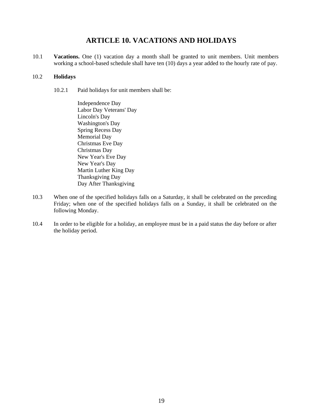## **ARTICLE 10. VACATIONS AND HOLIDAYS**

<span id="page-18-0"></span>10.1 **Vacations.** One (1) vacation day a month shall be granted to unit members. Unit members working a school-based schedule shall have ten (10) days a year added to the hourly rate of pay.

#### 10.2 **Holidays**

10.2.1 Paid holidays for unit members shall be:

Independence Day Labor Day Veterans' Day Lincoln's Day Washington's Day Spring Recess Day Memorial Day Christmas Eve Day Christmas Day New Year's Eve Day New Year's Day Martin Luther King Day Thanksgiving Day Day After Thanksgiving

- 10.3 When one of the specified holidays falls on a Saturday, it shall be celebrated on the preceding Friday; when one of the specified holidays falls on a Sunday, it shall be celebrated on the following Monday.
- 10.4 In order to be eligible for a holiday, an employee must be in a paid status the day before or after the holiday period.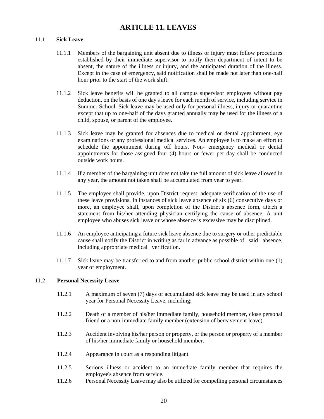## **ARTICLE 11. LEAVES**

#### <span id="page-19-0"></span>11.1 **Sick Leave**

- 11.1.1 Members of the bargaining unit absent due to illness or injury must follow procedures established by their immediate supervisor to notify their department of intent to be absent, the nature of the illness or injury, and the anticipated duration of the illness. Except in the case of emergency, said notification shall be made not later than one-half hour prior to the start of the work shift.
- 11.1.2 Sick leave benefits will be granted to all campus supervisor employees without pay deduction, on the basis of one day's leave for each month of service, including service in Summer School. Sick leave may be used only for personal illness, injury or quarantine except that up to one-half of the days granted annually may be used for the illness of a child, spouse, or parent of the employee.
- 11.1.3 Sick leave may be granted for absences due to medical or dental appointment, eye examinations or any professional medical services. An employee is to make an effort to schedule the appointment during off hours. Non- emergency medical or dental appointments for those assigned four (4) hours or fewer per day shall be conducted outside work hours.
- 11.1.4 If a member of the bargaining unit does not take the full amount of sick leave allowed in any year, the amount not taken shall be accumulated from year to year.
- 11.1.5 The employee shall provide, upon District request, adequate verification of the use of these leave provisions. In instances of sick leave absence of six (6) consecutive days or more, an employee shall, upon completion of the District's absence form, attach a statement from his/her attending physician certifying the cause of absence. A unit employee who abuses sick leave or whose absence is excessive may be disciplined.
- 11.1.6 An employee anticipating a future sick leave absence due to surgery or other predictable cause shall notify the District in writing as far in advance as possible of said absence, including appropriate medical verification.
- 11.1.7 Sick leave may be transferred to and from another public-school district within one (1) year of employment.

#### 11.2 **Personal Necessity Leave**

- 11.2.1 A maximum of seven (7) days of accumulated sick leave may be used in any school year for Personal Necessity Leave, including:
- 11.2.2 Death of a member of his/her immediate family, household member, close personal friend or a non-immediate family member (extension of bereavement leave).
- 11.2.3 Accident involving his/her person or property, or the person or property of a member of his/her immediate family or household member.
- 11.2.4 Appearance in court as a responding litigant.
- 11.2.5 Serious illness or accident to an immediate family member that requires the employee's absence from service.
- 11.2.6 Personal Necessity Leave may also be utilized for compelling personal circumstances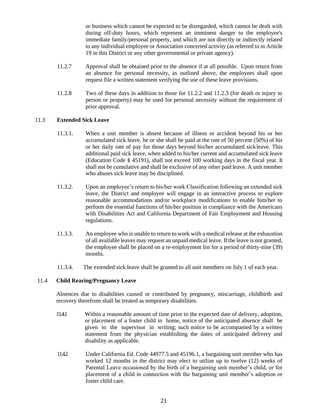or business which cannot be expected to be disregarded, which cannot be dealt with during off-duty hours, which represent an imminent danger to the employee's immediate family/personal property, and which are not directly or indirectly related to any individual employee or Association concerted activity (as referred to in Article 19 in this District or any other governmental or private agency).

- 11.2.7 Approval shall be obtained prior to the absence if at all possible. Upon return from an absence for personal necessity, as outlined above, the employees shall upon request file a written statement verifying the use of these leave provisions.
- 11.2.8 Two of these days in addition to those for 11.2.2 and 11.2.3 (for death or injury to person or property) may be used for personal necessity without the requirement of prior approval.

## 11.3 **Extended Sick Leave**

- 11.3.1. When a unit member is absent because of illness or accident beyond his or her accumulated sick leave, he or she shall be paid at the rate of 50 percent (50%) of his or her daily rate of pay for those days beyond his/her accumulated sickleave. This additional paid sick leave, when added to his/her current and accumulated sick leave (Education Code § 45191), shall not exceed 100 working days in the fiscal year. It shall not be cumulative and shall be exclusive of any other paid leave. A unit member who abuses sick leave may be disciplined.
- 11.3.2. Upon an employee's return to his/her work Classification following an extended sick leave, the District and employee will engage in an interactive process to explore reasonable accommodations and/or workplace modifications to enable him/her to perform the essential functions of his/her position in compliance with the Americans with Disabilities Act and California Department of Fair Employment and Housing regulations.
- 11.3.3. An employee who is unable to return to work with a medical release at the exhaustion of all available leaves may request an unpaid medical leave. If the leave is not granted, the employee shall be placed on a re-employment list for a period of thirty-nine (39) months.
- 11.3.4. The extended sick leave shall be granted to all unit members on July 1 of each year.

#### 11.4 **Child Rearing/Pregnancy Leave**

Absences due to disabilities caused or contributed by pregnancy, miscarriage, childbirth and recovery therefrom shall be treated as temporary disabilities.

- 11.4.1 Within a reasonable amount of time prior to the expected date of delivery, adoption, or placement of a foster child in home, notice of the anticipated absence shall be given to the supervisor in writing; such notice to be accompanied by a written statement from the physician establishing the dates of anticipated delivery and disability as applicable.
- 11.4.2 Under California Ed. Code 44977.5 and 45196.1, a bargaining unit member who has worked 12 months in the district may elect to utilize up to twelve (12) weeks of Parental Leave occasioned by the birth of a bargaining unit member's child, or for placement of a child in connection with the bargaining unit member's adoption or foster child care.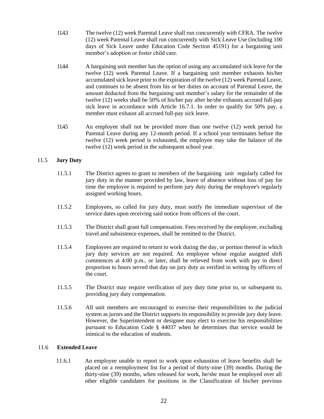- 11.4.3 The twelve (12) week Parental Leave shall run concurrently with CFRA. The twelve (12) week Parental Leave shall run concurrently with Sick Leave Use (including 100 days of Sick Leave under Education Code Section 45191) for a bargaining unit member's adoption or foster child care.
- 11.4.4 A bargaining unit member has the option of using any accumulated sick leave for the twelve (12) week Parental Leave. If a bargaining unit member exhausts his/her accumulated sick leave prior to the expiration of the twelve (12) week Parental Leave, and continues to be absent from his or her duties on account of Parental Leave, the amount deducted from the bargaining unit member's salary for the remainder of the twelve (12) weeks shall be 50% of his/her pay after he/she exhausts accrued full-pay sick leave in accordance with Article 16.7.1. In order to qualify for 50% pay, a member must exhaust all accrued full-pay sick leave.
- 11.4.5 An employee shall not be provided more than one twelve (12) week period for Parental Leave during any 12-month period. If a school year terminates before the twelve (12) week period is exhausted, the employee may take the balance of the twelve (12) week period in the subsequent school year.

## 11.5 **Jury Duty**

- 11.5.1 The District agrees to grant to members of the bargaining unit regularly called for jury duty in the manner provided by law, leave of absence without loss of pay for time the employee is required to perform jury duty during the employee's regularly assigned working hours.
- 11.5.2 Employees, so called for jury duty, must notify the immediate supervisor of the service dates upon receiving said notice from officers of the court.
- 11.5.3 The District shall grant full compensation. Fees received by the employee, excluding travel and subsistence expenses, shall be remitted to the District.
- 11.5.4 Employees are required to return to work during the day, or portion thereof in which jury duty services are not required. An employee whose regular assigned shift commences at 4:00 p.m., or later, shall be relieved from work with pay in direct proportion to hours served that day on jury duty as verified in writing by officers of the court.
- 11.5.5 The District may require verification of jury duty time prior to, or subsequent to, providing jury duty compensation.
- 11.5.6 All unit members are encouraged to exercise their responsibilities to the judicial system as jurors and the District supports its responsibility to provide jury duty leave. However, the Superintendent or designee may elect to exercise his responsibilities pursuant to Education Code § 44037 when he determines that service would be inimical to the education of students.

#### 11.6 **Extended Leave**

11.6.1 An employee unable to report to work upon exhaustion of leave benefits shall be placed on a reemployment list for a period of thirty-nine (39) months. During the thirty-nine (39) months, when released for work, he/she must be employed over all other eligible candidates for positions in the Classification of his/her previous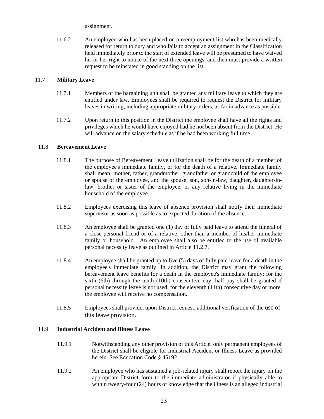assignment.

11.6.2 An employee who has been placed on a reemployment list who has been medically released for return to duty and who fails to accept an assignment in the Classification held immediately prior to the start of extended leave will be presumed to have waived his or her right to notice of the next three openings, and then must provide a written request to be reinstated in good standing on the list.

#### 11.7 **Military Leave**

- 11.7.1 Members of the bargaining unit shall be granted any military leave to which they are entitled under law. Employees shall be required to request the District for military leaves in writing, including appropriate military orders, as far in advance as possible.
- 11.7.2 Upon return to this position in the District the employee shall have all the rights and privileges which he would have enjoyed had he not been absent from the District. He will advance on the salary schedule as if he had been working full time.

## 11.8 **Bereavement Leave**

- 11.8.1 The purpose of Bereavement Leave utilization shall be for the death of a member of the employee's immediate family, or for the death of a relative. Immediate family shall mean: mother, father, grandmother, grandfather or grandchild of the employee or spouse of the employee, and the spouse, son, son-in-law, daughter, daughter-inlaw, brother or sister of the employee, or any relative living in the immediate household of the employee.
- 11.8.2 Employees exercising this leave of absence provision shall notify their immediate supervisor as soon as possible as to expected duration of the absence.
- 11.8.3 An employee shall be granted one (1) day of fully paid leave to attend the funeral of a close personal friend or of a relative, other than a member of his/her immediate family or household. An employee shall also be entitled to the use of available personal necessity leave as outlined in Article 11.2.7.
- 11.8.4 An employee shall be granted up to five (5) days of fully paid leave for a death in the employee's immediate family. In addition, the District may grant the following bereavement leave benefits for a death in the employee's immediate family: for the sixth (6th) through the tenth (10th) consecutive day, half pay shall be granted if personal necessity leave is not used; for the eleventh (11th) consecutive day or more, the employee will receive no compensation.
- 11.8.5 Employees shall provide, upon District request, additional verification of the use of this leave provision.

#### 11.9 **Industrial Accident and Illness Leave**

- 11.9.1 Notwithstanding any other provision of this Article, only permanent employees of the District shall be eligible for Industrial Accident or Illness Leave as provided herein. See Education Code § 45192.
- 11.9.2 An employee who has sustained a job-related injury shall report the injury on the appropriate District form to the immediate administrator if physically able to within twenty-four (24) hours of knowledge that the illness is an alleged industrial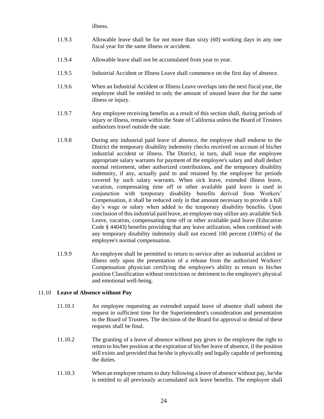illness.

- 11.9.3 Allowable leave shall be for not more than sixty (60) working days in any one fiscal year for the same illness or accident.
- 11.9.4 Allowable leave shall not be accumulated from year to year.
- 11.9.5 Industrial Accident or Illness Leave shall commence on the first day of absence.
- 11.9.6 When an Industrial Accident or Illness Leave overlaps into the next fiscal year, the employee shall be entitled to only the amount of unused leave due for the same illness or injury.
- 11.9.7 Any employee receiving benefits as a result of this section shall, during periods of injury or illness, remain within the State of California unless the Board of Trustees authorizes travel outside the state.
- 11.9.8 During any industrial paid leave of absence, the employee shall endorse to the District the temporary disability indemnity checks received on account of his/her industrial accident or illness. The District, in turn, shall issue the employee appropriate salary warrants for payment of the employee's salary and shall deduct normal retirement, other authorized contributions, and the temporary disability indemnity, if any, actually paid to and retained by the employee for periods covered by such salary warrants. When sick leave, extended illness leave, vacation, compensating time off or other available paid leave is used in conjunction with temporary disability benefits derived from Workers' Compensation, it shall be reduced only in that amount necessary to provide a full day's wage or salary when added to the temporary disability benefits. Upon conclusion of this industrial paid leave, an employee may utilize any available Sick Leave, vacation, compensating time off or other available paid leave (Education Code § 44043) benefits providing that any leave utilization, when combined with any temporary disability indemnity shall not exceed 100 percent (100%) of the employee's normal compensation.
- 11.9.9 An employee shall be permitted to return to service after an industrial accident or illness only upon the presentation of a release from the authorized Workers' Compensation physician certifying the employee's ability to return to his/her position Classification without restrictions or detriment to the employee's physical and emotional well-being.

#### 11.10 **Leave of Absence without Pay**

- 11.10.1 An employee requesting an extended unpaid leave of absence shall submit the request in sufficient time for the Superintendent's consideration and presentation to the Board of Trustees. The decision of the Board for approval or denial of these requests shall be final.
- 11.10.2 The granting of a leave of absence without pay gives to the employee the right to return to his/her position at the expiration of his/her leave of absence, if the position still exists and provided that he/she is physically and legally capable of performing the duties.
- 11.10.3 When an employee returns to duty following a leave of absence without pay, he/she is entitled to all previously accumulated sick leave benefits. The employee shall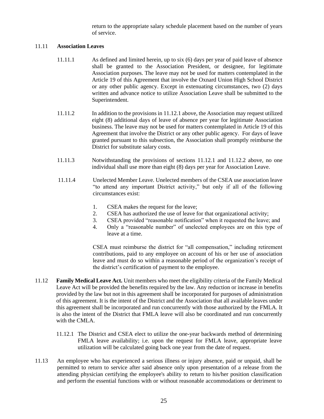return to the appropriate salary schedule placement based on the number of years of service.

## 11.11 **Association Leaves**

- 11.11.1 As defined and limited herein, up to six (6) days per year of paid leave of absence shall be granted to the Association President, or designee, for legitimate Association purposes. The leave may not be used for matters contemplated in the Article 19 of this Agreement that involve the Oxnard Union High School District or any other public agency. Except in extenuating circumstances, two (2) days written and advance notice to utilize Association Leave shall be submitted to the Superintendent.
- 11.11.2 In addition to the provisions in 11.12.1 above, the Association may request utilized eight (8) additional days of leave of absence per year for legitimate Association business. The leave may not be used for matters contemplated in Article 19 of this Agreement that involve the District or any other public agency. For days of leave granted pursuant to this subsection, the Association shall promptly reimburse the District for substitute salary costs.
- 11.11.3 Notwithstanding the provisions of sections 11.12.1 and 11.12.2 above, no one individual shall use more than eight (8) days per year for Association Leave.
- 11.11.4 Unelected Member Leave. Unelected members of the CSEA use association leave "to attend any important District activity," but only if all of the following circumstances exist:
	- 1. CSEA makes the request for the leave;
	- 2. CSEA has authorized the use of leave for that organizational activity;
	- 3. CSEA provided "reasonable notification" when it requested the leave; and
	- 4. Only a "reasonable number" of unelected employees are on this type of leave at a time.

CSEA must reimburse the district for "all compensation," including retirement contributions, paid to any employee on account of his or her use of association leave and must do so within a reasonable period of the organization's receipt of the district's certification of payment to the employee.

- 11.12 **Family Medical Leave Act.** Unit members who meet the eligibility criteria of the Family Medical Leave Act will be provided the benefits required by the law. Any reduction or increase in benefits provided by the law but not in this agreement shall be incorporated for purposes of administration of this agreement. It is the intent of the District and the Association that all available leaves under this agreement shall be incorporated and run concurrently with those authorized by the FMLA. It is also the intent of the District that FMLA leave will also be coordinated and run concurrently with the CMLA.
	- 11.12.1 The District and CSEA elect to utilize the one-year backwards method of determining FMLA leave availability; i.e. upon the request for FMLA leave, appropriate leave utilization will be calculated going back one year from the date of request.
- 11.13 An employee who has experienced a serious illness or injury absence, paid or unpaid, shall be permitted to return to service after said absence only upon presentation of a release from the attending physician certifying the employee's ability to return to his/her position classification and perform the essential functions with or without reasonable accommodations or detriment to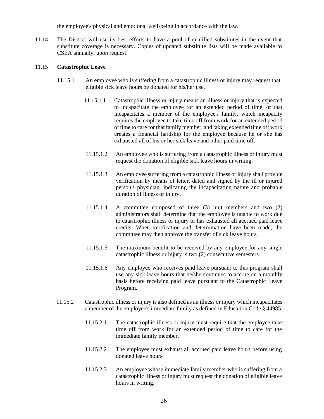the employee's physical and emotional well-being in accordance with the law.

11.14 The District will use its best efforts to have a pool of qualified substitutes in the event that substitute coverage is necessary. Copies of updated substitute lists will be made available to CSEA annually, upon request.

#### 11.15 **Catastrophic Leave**

- 11.15.1 An employee who is suffering from a catastrophic illness or injury may request that eligible sick leave hours be donated for his/her use.
	- 11.15.1.1 Catastrophic illness or injury means an illness or injury that is expected to incapacitate the employee for an extended period of time, or that incapacitates a member of the employee's family, which incapacity requires the employee to take time off from work for an extended period of time to care for that family member, and taking extended time off work creates a financial hardship for the employee because he or she has exhausted all of his or her sick leave and other paid time off.
	- 11.15.1.2 An employee who is suffering from a catastrophic illness or injury must request the donation of eligible sick leave hours in writing.
	- 11.15.1.3 An employee suffering from a catastrophic illness or injury shall provide verification by means of letter, dated and signed by the ill or injured person's physician, indicating the incapacitating nature and probable duration of illness or injury.
	- 11.15.1.4 A committee composed of three (3) unit members and two (2) administrators shall determine that the employee is unable to work due to catastrophic illness or injury or has exhausted all accrued paid leave credits. When verification and determination have been made, the committee may then approve the transfer of sick leave hours.
	- 11.15.1.5 The maximum benefit to be received by any employee for any single catastrophic illness or injury is two (2) consecutive semesters.
	- 11.15.1.6 Any employee who receives paid leave pursuant to this program shall use any sick leave hours that he/she continues to accrue on a monthly basis before receiving paid leave pursuant to the Catastrophic Leave Program.
- 11.15.2 Catastrophic illness or injury is also defined as an illness or injury which incapacitates a member of the employee's immediate family as defined in Education Code § 44985.
	- 11.15.2.1 The catastrophic illness or injury must require that the employee take time off from work for an extended period of time to care for the immediate family member.
	- 11.15.2.2 The employee must exhaust all accrued paid leave hours before using donated leave hours.
	- 11.15.2.3 An employee whose immediate family member who is suffering from a catastrophic illness or injury must request the donation of eligible leave hours in writing.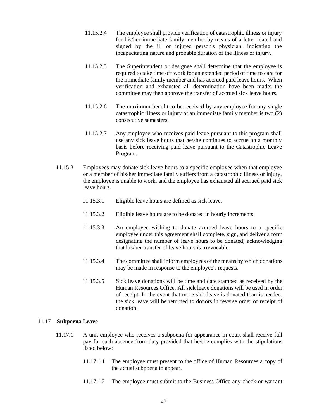- 11.15.2.4 The employee shall provide verification of catastrophic illness or injury for his/her immediate family member by means of a letter, dated and signed by the ill or injured person's physician, indicating the incapacitating nature and probable duration of the illness or injury.
- 11.15.2.5 The Superintendent or designee shall determine that the employee is required to take time off work for an extended period of time to care for the immediate family member and has accrued paid leave hours. When verification and exhausted all determination have been made; the committee may then approve the transfer of accrued sick leave hours.
- 11.15.2.6 The maximum benefit to be received by any employee for any single catastrophic illness or injury of an immediate family member is two (2) consecutive semesters.
- 11.15.2.7 Any employee who receives paid leave pursuant to this program shall use any sick leave hours that he/she continues to accrue on a monthly basis before receiving paid leave pursuant to the Catastrophic Leave Program.
- 11.15.3 Employees may donate sick leave hours to a specific employee when that employee or a member of his/her immediate family suffers from a catastrophic illness or injury, the employee is unable to work, and the employee has exhausted all accrued paid sick leave hours.
	- 11.15.3.1 Eligible leave hours are defined as sick leave.
	- 11.15.3.2 Eligible leave hours are to be donated in hourly increments.
	- 11.15.3.3 An employee wishing to donate accrued leave hours to a specific employee under this agreement shall complete, sign, and deliver a form designating the number of leave hours to be donated; acknowledging that his/her transfer of leave hours is irrevocable.
	- 11.15.3.4 The committee shall inform employees of the means by which donations may be made in response to the employee's requests.
	- 11.15.3.5 Sick leave donations will be time and date stamped as received by the Human Resources Office. All sick leave donations will be used in order of receipt. In the event that more sick leave is donated than is needed, the sick leave will be returned to donors in reverse order of receipt of donation.

#### 11.17 **Subpoena Leave**

- 11.17.1 A unit employee who receives a subpoena for appearance in court shall receive full pay for such absence from duty provided that he/she complies with the stipulations listed below:
	- 11.17.1.1 The employee must present to the office of Human Resources a copy of the actual subpoena to appear.
	- 11.17.1.2 The employee must submit to the Business Office any check or warrant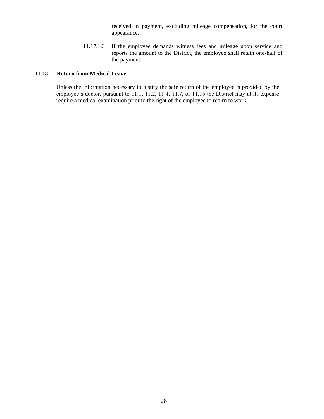received in payment, excluding mileage compensation, for the court appearance.

11.17.1.3 If the employee demands witness fees and mileage upon service and reports the amount to the District, the employee shall retain one-half of the payment.

## 11.18 **Return from Medical Leave**

Unless the information necessary to justify the safe return of the employee is provided by the employee's doctor, pursuant to 11.1, 11.2, 11.4, 11.7, or 11.16 the District may at its expense require a medical examination prior to the right of the employee to return to work.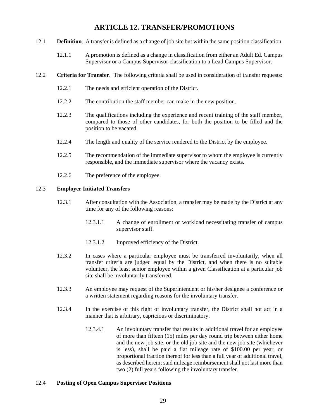## **ARTICLE 12. TRANSFER/PROMOTIONS**

- <span id="page-28-0"></span>12.1 **Definition**. A transfer is defined as a change of job site but within the same position classification.
	- 12.1.1 A promotion is defined as a change in classification from either an Adult Ed. Campus Supervisor or a Campus Supervisor classification to a Lead Campus Supervisor.
- 12.2 **Criteria for Transfer**. The following criteria shall be used in consideration of transfer requests:
	- 12.2.1 The needs and efficient operation of the District.
	- 12.2.2 The contribution the staff member can make in the new position.
	- 12.2.3 The qualifications including the experience and recent training of the staff member, compared to those of other candidates, for both the position to be filled and the position to be vacated.
	- 12.2.4 The length and quality of the service rendered to the District by the employee.
	- 12.2.5 The recommendation of the immediate supervisor to whom the employee is currently responsible, and the immediate supervisor where the vacancy exists.
	- 12.2.6 The preference of the employee.

#### 12.3 **Employer Initiated Transfers**

- 12.3.1 After consultation with the Association, a transfer may be made by the District at any time for any of the following reasons:
	- 12.3.1.1 A change of enrollment or workload necessitating transfer of campus supervisor staff.
	- 12.3.1.2 Improved efficiency of the District.
- 12.3.2 In cases where a particular employee must be transferred involuntarily, when all transfer criteria are judged equal by the District, and when there is no suitable volunteer, the least senior employee within a given Classification at a particular job site shall be involuntarily transferred.
- 12.3.3 An employee may request of the Superintendent or his/her designee a conference or a written statement regarding reasons for the involuntary transfer.
- 12.3.4 In the exercise of this right of involuntary transfer, the District shall not act in a manner that is arbitrary, capricious or discriminatory.
	- 12.3.4.1 An involuntary transfer that results in additional travel for an employee of more than fifteen (15) miles per day round trip between either home and the new job site, or the old job site and the new job site (whichever is less), shall be paid a flat mileage rate of \$100.00 per year, or proportional fraction thereof for less than a full year of additional travel, as described herein; said mileage reimbursement shall not last more than two (2) full years following the involuntary transfer.

#### 12.4 **Posting of Open Campus Supervisor Positions**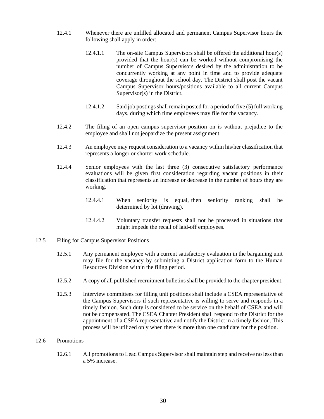- 12.4.1 Whenever there are unfilled allocated and permanent Campus Supervisor hours the following shall apply in order:
	- 12.4.1.1 The on-site Campus Supervisors shall be offered the additional hour(s) provided that the hour(s) can be worked without compromising the number of Campus Supervisors desired by the administration to be concurrently working at any point in time and to provide adequate coverage throughout the school day. The District shall post the vacant Campus Supervisor hours/positions available to all current Campus Supervisor(s) in the District.
	- 12.4.1.2 Said job postings shall remain posted for a period of five (5) full working days, during which time employees may file for the vacancy.
- 12.4.2 The filing of an open campus supervisor position on is without prejudice to the employee and shall not jeopardize the present assignment.
- 12.4.3 An employee may request consideration to a vacancy within his/her classification that represents a longer or shorter work schedule.
- 12.4.4 Senior employees with the last three (3) consecutive satisfactory performance evaluations will be given first consideration regarding vacant positions in their classification that represents an increase or decrease in the number of hours they are working.
	- 12.4.4.1 When seniority is equal, then seniority ranking shall be determined by lot (drawing).
	- 12.4.4.2 Voluntary transfer requests shall not be processed in situations that might impede the recall of laid-off employees.
- 12.5 Filing for Campus Supervisor Positions
	- 12.5.1 Any permanent employee with a current satisfactory evaluation in the bargaining unit may file for the vacancy by submitting a District application form to the Human Resources Division within the filing period.
	- 12.5.2 A copy of all published recruitment bulletins shall be provided to the chapter president.
	- 12.5.3 Interview committees for filling unit positions shall include a CSEA representative of the Campus Supervisors if such representative is willing to serve and responds in a timely fashion. Such duty is considered to be service on the behalf of CSEA and will not be compensated. The CSEA Chapter President shall respond to the District for the appointment of a CSEA representative and notify the District in a timely fashion. This process will be utilized only when there is more than one candidate for the position.
- 12.6 Promotions
	- 12.6.1 All promotions to Lead Campus Supervisor shall maintain step and receive no less than a 5% increase.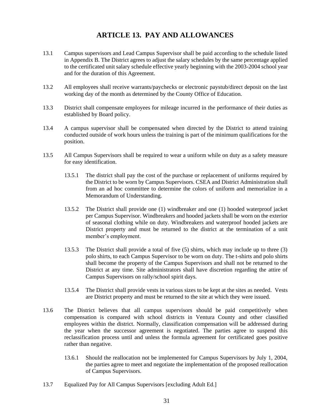## **ARTICLE 13. PAY AND ALLOWANCES**

- <span id="page-30-0"></span>13.1 Campus supervisors and Lead Campus Supervisor shall be paid according to the schedule listed in Appendix B. The District agrees to adjust the salary schedules by the same percentage applied to the certificated unit salary schedule effective yearly beginning with the 2003-2004 school year and for the duration of this Agreement.
- 13.2 All employees shall receive warrants/paychecks or electronic paystub/direct deposit on the last working day of the month as determined by the County Office of Education.
- 13.3 District shall compensate employees for mileage incurred in the performance of their duties as established by Board policy.
- 13.4 A campus supervisor shall be compensated when directed by the District to attend training conducted outside of work hours unless the training is part of the minimum qualifications for the position.
- 13.5 All Campus Supervisors shall be required to wear a uniform while on duty as a safety measure for easy identification.
	- 13.5.1 The district shall pay the cost of the purchase or replacement of uniforms required by the District to be worn by Campus Supervisors. CSEA and District Administration shall from an ad hoc committee to determine the colors of uniform and memorialize in a Memorandum of Understanding.
	- 13.5.2 The District shall provide one (1) windbreaker and one (1) hooded waterproof jacket per Campus Supervisor. Windbreakers and hooded jackets shall be worn on the exterior of seasonal clothing while on duty. Windbreakers and waterproof hooded jackets are District property and must be returned to the district at the termination of a unit member's employment.
	- 13.5.3 The District shall provide a total of five (5) shirts, which may include up to three (3) polo shirts, to each Campus Supervisor to be worn on duty. The t-shirts and polo shirts shall become the property of the Campus Supervisors and shall not be returned to the District at any time. Site administrators shall have discretion regarding the attire of Campus Supervisors on rally/school spirit days.
	- 13.5.4 The District shall provide vests in various sizes to be kept at the sites as needed. Vests are District property and must be returned to the site at which they were issued.
- 13.6 The District believes that all campus supervisors should be paid competitively when compensation is compared with school districts in Ventura County and other classified employees within the district. Normally, classification compensation will be addressed during the year when the successor agreement is negotiated. The parties agree to suspend this reclassification process until and unless the formula agreement for certificated goes positive rather than negative.
	- 13.6.1 Should the reallocation not be implemented for Campus Supervisors by July 1, 2004, the parties agree to meet and negotiate the implementation of the proposed reallocation of Campus Supervisors.
- 13.7 Equalized Pay for All Campus Supervisors [excluding Adult Ed.]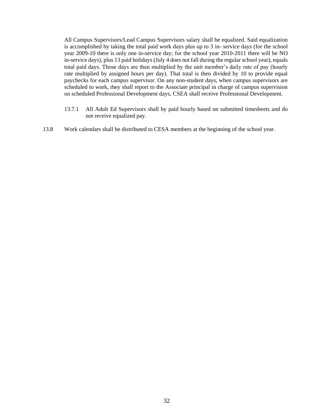All Campus Supervisors/Lead Campus Supervisors salary shall be equalized. Said equalization is accomplished by taking the total paid work days plus up to 3 in- service days (for the school year 2009-10 there is only one in-service day; for the school year 2010-2011 there will be NO in-service days), plus 13 paid holidays (July 4 does not fall during the regular school year), equals total paid days. Those days are then multiplied by the unit member's daily rate of pay (hourly rate multiplied by assigned hours per day). That total is then divided by 10 to provide equal paychecks for each campus supervisor. On any non-student days, when campus supervisors are scheduled to work, they shall report to the Associate principal in charge of campus supervision on scheduled Professional Development days, CSEA shall receive Professional Development.

- 13.7.1 All Adult Ed Supervisors shall by paid hourly based on submitted timesheets and do not receive equalized pay.
- 13.8 Work calendars shall be distributed to CESA members at the beginning of the school year.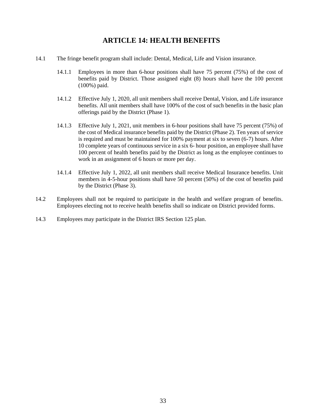## **ARTICLE 14: HEALTH BENEFITS**

- <span id="page-32-0"></span>14.1 The fringe benefit program shall include: Dental, Medical, Life and Vision insurance.
	- 14.1.1 Employees in more than 6-hour positions shall have 75 percent (75%) of the cost of benefits paid by District. Those assigned eight (8) hours shall have the 100 percent (100%) paid.
	- 14.1.2 Effective July 1, 2020, all unit members shall receive Dental, Vision, and Life insurance benefits. All unit members shall have 100% of the cost of such benefits in the basic plan offerings paid by the District (Phase 1).
	- 14.1.3 Effective July 1, 2021, unit members in 6-hour positions shall have 75 percent (75%) of the cost of Medical insurance benefits paid by the District (Phase 2). Ten years of service is required and must be maintained for 100% payment at six to seven (6-7) hours. After 10 complete years of continuous service in a six 6- hour position, an employee shall have 100 percent of health benefits paid by the District as long as the employee continues to work in an assignment of 6 hours or more per day.
	- 14.1.4 Effective July 1, 2022, all unit members shall receive Medical Insurance benefits. Unit members in 4-5-hour positions shall have 50 percent (50%) of the cost of benefits paid by the District (Phase 3).
- 14.2 Employees shall not be required to participate in the health and welfare program of benefits. Employees electing not to receive health benefits shall so indicate on District provided forms.
- 14.3 Employees may participate in the District IRS Section 125 plan.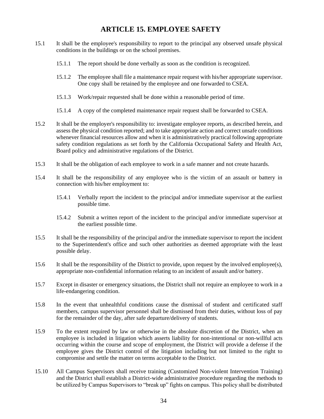## **ARTICLE 15. EMPLOYEE SAFETY**

- <span id="page-33-0"></span>15.1 It shall be the employee's responsibility to report to the principal any observed unsafe physical conditions in the buildings or on the school premises.
	- 15.1.1 The report should be done verbally as soon as the condition is recognized.
	- 15.1.2 The employee shall file a maintenance repair request with his/her appropriate supervisor. One copy shall be retained by the employee and one forwarded to CSEA.
	- 15.1.3 Work/repair requested shall be done within a reasonable period of time.
	- 15.1.4 A copy of the completed maintenance repair request shall be forwarded to CSEA.
- 15.2 It shall be the employer's responsibility to: investigate employee reports, as described herein, and assess the physical condition reported; and to take appropriate action and correct unsafe conditions whenever financial resources allow and when it is administratively practical following appropriate safety condition regulations as set forth by the California Occupational Safety and Health Act, Board policy and administrative regulations of the District.
- 15.3 It shall be the obligation of each employee to work in a safe manner and not create hazards.
- 15.4 It shall be the responsibility of any employee who is the victim of an assault or battery in connection with his/her employment to:
	- 15.4.1 Verbally report the incident to the principal and/or immediate supervisor at the earliest possible time.
	- 15.4.2 Submit a written report of the incident to the principal and/or immediate supervisor at the earliest possible time.
- 15.5 It shall be the responsibility of the principal and/or the immediate supervisor to report the incident to the Superintendent's office and such other authorities as deemed appropriate with the least possible delay.
- 15.6 It shall be the responsibility of the District to provide, upon request by the involved employee(s), appropriate non-confidential information relating to an incident of assault and/or battery.
- 15.7 Except in disaster or emergency situations, the District shall not require an employee to work in a life-endangering condition.
- 15.8 In the event that unhealthful conditions cause the dismissal of student and certificated staff members, campus supervisor personnel shall be dismissed from their duties, without loss of pay for the remainder of the day, after safe departure/delivery of students.
- 15.9 To the extent required by law or otherwise in the absolute discretion of the District, when an employee is included in litigation which asserts liability for non-intentional or non-willful acts occurring within the course and scope of employment, the District will provide a defense if the employee gives the District control of the litigation including but not limited to the right to compromise and settle the matter on terms acceptable to the District.
- 15.10 All Campus Supervisors shall receive training (Customized Non-violent Intervention Training) and the District shall establish a District-wide administrative procedure regarding the methods to be utilized by Campus Supervisors to "break up" fights on campus. This policy shall be distributed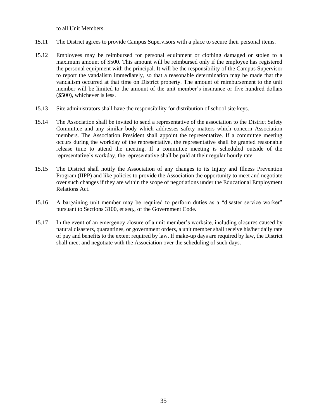to all Unit Members.

- 15.11 The District agrees to provide Campus Supervisors with a place to secure their personal items.
- 15.12 Employees may be reimbursed for personal equipment or clothing damaged or stolen to a maximum amount of \$500. This amount will be reimbursed only if the employee has registered the personal equipment with the principal. It will be the responsibility of the Campus Supervisor to report the vandalism immediately, so that a reasonable determination may be made that the vandalism occurred at that time on District property. The amount of reimbursement to the unit member will be limited to the amount of the unit member's insurance or five hundred dollars (\$500), whichever is less.
- 15.13 Site administrators shall have the responsibility for distribution of school site keys.
- 15.14 The Association shall be invited to send a representative of the association to the District Safety Committee and any similar body which addresses safety matters which concern Association members. The Association President shall appoint the representative. If a committee meeting occurs during the workday of the representative, the representative shall be granted reasonable release time to attend the meeting. If a committee meeting is scheduled outside of the representative's workday, the representative shall be paid at their regular hourly rate.
- 15.15 The District shall notify the Association of any changes to its Injury and Illness Prevention Program (IIPP) and like policies to provide the Association the opportunity to meet and negotiate over such changes if they are within the scope of negotiations under the Educational Employment Relations Act.
- 15.16 A bargaining unit member may be required to perform duties as a "disaster service worker" pursuant to Sections 3100, et seq., of the Government Code.
- 15.17 In the event of an emergency closure of a unit member's worksite, including closures caused by natural disasters, quarantines, or government orders, a unit member shall receive his/her daily rate of pay and benefits to the extent required by law. If make-up days are required by law, the District shall meet and negotiate with the Association over the scheduling of such days.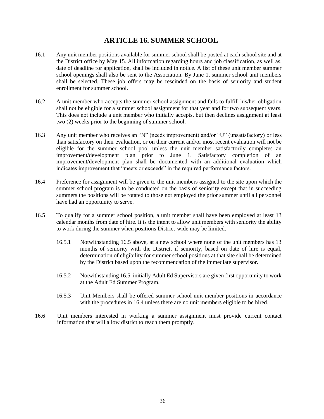## **ARTICLE 16. SUMMER SCHOOL**

- <span id="page-35-0"></span>16.1 Any unit member positions available for summer school shall be posted at each school site and at the District office by May 15. All information regarding hours and job classification, as well as, date of deadline for application, shall be included in notice. A list of these unit member summer school openings shall also be sent to the Association. By June 1, summer school unit members shall be selected. These job offers may be rescinded on the basis of seniority and student enrollment for summer school.
- 16.2 A unit member who accepts the summer school assignment and fails to fulfill his/her obligation shall not be eligible for a summer school assignment for that year and for two subsequent years. This does not include a unit member who initially accepts, but then declines assignment at least two (2) weeks prior to the beginning of summer school.
- 16.3 Any unit member who receives an "N" (needs improvement) and/or "U" (unsatisfactory) or less than satisfactory on their evaluation, or on their current and/or most recent evaluation will not be eligible for the summer school pool unless the unit member satisfactorily completes an improvement/development plan prior to June 1. Satisfactory completion of an improvement/development plan shall be documented with an additional evaluation which indicates improvement that "meets or exceeds" in the required performance factors.
- 16.4 Preference for assignment will be given to the unit members assigned to the site upon which the summer school program is to be conducted on the basis of seniority except that in succeeding summers the positions will be rotated to those not employed the prior summer until all personnel have had an opportunity to serve.
- 16.5 To qualify for a summer school position, a unit member shall have been employed at least 13 calendar months from date of hire. It is the intent to allow unit members with seniority the ability to work during the summer when positions District-wide may be limited.
	- 16.5.1 Notwithstanding 16.5 above, at a new school where none of the unit members has 13 months of seniority with the District, if seniority, based on date of hire is equal, determination of eligibility for summer school positions at that site shall be determined by the District based upon the recommendation of the immediate supervisor.
	- 16.5.2 Notwithstanding 16.5, initially Adult Ed Supervisors are given first opportunity to work at the Adult Ed Summer Program.
	- 16.5.3 Unit Members shall be offered summer school unit member positions in accordance with the procedures in 16.4 unless there are no unit members eligible to be hired.
- 16.6 Unit members interested in working a summer assignment must provide current contact information that will allow district to reach them promptly.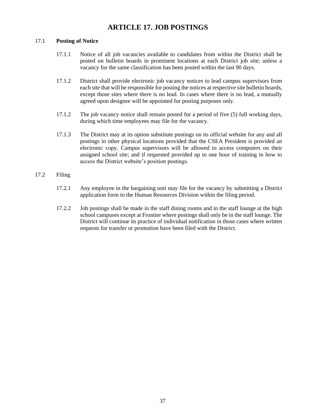## **ARTICLE 17. JOB POSTINGS**

## <span id="page-36-0"></span>17.1 **Posting of Notice**

- 17.1.1 Notice of all job vacancies available to candidates from within the District shall be posted on bulletin boards in prominent locations at each District job site; unless a vacancy for the same classification has been posted within the last 90 days.
- 17.1.2 District shall provide electronic job vacancy notices to lead campus supervisors from each site that will be responsible for posting the notices at respective site bulletin boards, except those sites where there is no lead. In cases where there is no lead, a mutually agreed upon designee will be appointed for posting purposes only.
- 17.1.2 The job vacancy notice shall remain posted for a period of five (5) full working days, during which time employees may file for the vacancy.
- 17.1.3 The District may at its option substitute postings on its official website for any and all postings in other physical locations provided that the CSEA President is provided an electronic copy. Campus supervisors will be allowed to access computers on their assigned school site; and if requested provided up to one hour of training in how to access the District website's position postings.

## 17.2 Filing

- 17.2.1 Any employee in the bargaining unit may file for the vacancy by submitting a District application form to the Human Resources Division within the filing period.
- 17.2.2 Job postings shall be made in the staff dining rooms and in the staff lounge at the high school campuses except at Frontier where postings shall only be in the staff lounge. The District will continue its practice of individual notification in those cases where written requests for transfer or promotion have been filed with the District.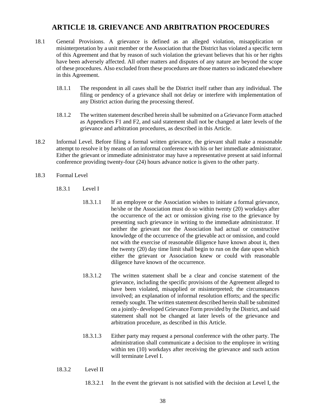## **ARTICLE 18. GRIEVANCE AND ARBITRATION PROCEDURES**

- <span id="page-37-0"></span>18.1 General Provisions. A grievance is defined as an alleged violation, misapplication or misinterpretation by a unit member or the Association that the District has violated a specific term of this Agreement and that by reason of such violation the grievant believes that his or her rights have been adversely affected. All other matters and disputes of any nature are beyond the scope of these procedures. Also excluded from these procedures are those matters so indicated elsewhere in this Agreement.
	- 18.1.1 The respondent in all cases shall be the District itself rather than any individual. The filing or pendency of a grievance shall not delay or interfere with implementation of any District action during the processing thereof.
	- 18.1.2 The written statement described herein shall be submitted on a Grievance Form attached as Appendices F1 and F2, and said statement shall not be changed at later levels of the grievance and arbitration procedures, as described in this Article.
- 18.2 Informal Level. Before filing a formal written grievance, the grievant shall make a reasonable attempt to resolve it by means of an informal conference with his or her immediate administrator. Either the grievant or immediate administrator may have a representative present at said informal conference providing twenty-four (24) hours advance notice is given to the other party.
- 18.3 Formal Level
	- 18.3.1 Level I
		- 18.3.1.1 If an employee or the Association wishes to initiate a formal grievance, he/she or the Association must do so within twenty (20) workdays after the occurrence of the act or omission giving rise to the grievance by presenting such grievance in writing to the immediate administrator. If neither the grievant nor the Association had actual or constructive knowledge of the occurrence of the grievable act or omission, and could not with the exercise of reasonable diligence have known about it, then the twenty (20) day time limit shall begin to run on the date upon which either the grievant or Association knew or could with reasonable diligence have known of the occurrence.
		- 18.3.1.2 The written statement shall be a clear and concise statement of the grievance, including the specific provisions of the Agreement alleged to have been violated, misapplied or misinterpreted; the circumstances involved; an explanation of informal resolution efforts; and the specific remedy sought. The written statement described herein shall be submitted on a jointly- developed Grievance Form provided by the District, and said statement shall not be changed at later levels of the grievance and arbitration procedure, as described in this Article.
		- 18.3.1.3 Either party may request a personal conference with the other party. The administration shall communicate a decision to the employee in writing within ten (10) workdays after receiving the grievance and such action will terminate Level I.
	- 18.3.2 Level II
		- 18.3.2.1 In the event the grievant is not satisfied with the decision at Level I, the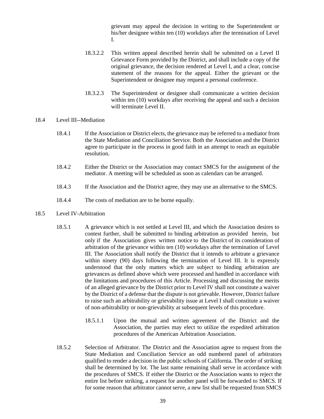grievant may appeal the decision in writing to the Superintendent or his/her designee within ten (10) workdays after the termination of Level I.

- 18.3.2.2 This written appeal described herein shall be submitted on a Level II Grievance Form provided by the District, and shall include a copy of the original grievance, the decision rendered at Level I, and a clear, concise statement of the reasons for the appeal. Either the grievant or the Superintendent or designee may request a personal conference.
- 18.3.2.3 The Superintendent or designee shall communicate a written decision within ten (10) workdays after receiving the appeal and such a decision will terminate Level II

#### 18.4 Level III--Mediation

- 18.4.1 If the Association or District elects, the grievance may be referred to a mediator from the State Mediation and Conciliation Service. Both the Association and the District agree to participate in the process in good faith in an attempt to reach an equitable resolution.
- 18.4.2 Either the District or the Association may contact SMCS for the assignment of the mediator. A meeting will be scheduled as soon as calendars can be arranged.
- 18.4.3 If the Association and the District agree, they may use an alternative to the SMCS.
- 18.4.4 The costs of mediation are to be borne equally.
- 18.5 Level IV-Arbitration
	- 18.5.1 A grievance which is not settled at Level III, and which the Association desires to contest further, shall be submitted to binding arbitration as provided herein, but only if the Association gives written notice to the District of its consideration of arbitration of the grievance within ten (10) workdays after the termination of Level III. The Association shall notify the District that it intends to arbitrate a grievance within ninety (90) days following the termination of Level III. It is expressly understood that the only matters which are subject to binding arbitration are grievances as defined above which were processed and handled in accordance with the limitations and procedures of this Article. Processing and discussing the merits of an alleged grievance by the District prior to Level IV shall not constitute a waiver by the District of a defense that the dispute is not grievable. However, District failure to raise such an arbitrability or grievability issue at Level I shall constitute a waiver of non-arbitrability or non-grievability at subsequent levels of this procedure.
		- 18.5.1.1 Upon the mutual and written agreement of the District and the Association, the parties may elect to utilize the expedited arbitration procedures of the American Arbitration Association.
	- 18.5.2 Selection of Arbitrator. The District and the Association agree to request from the State Mediation and Conciliation Service an odd numbered panel of arbitrators qualified to render a decision in the public schools of California. The order of striking shall be determined by lot. The last name remaining shall serve in accordance with the procedures of SMCS. If either the District or the Association wants to reject the entire list before striking, a request for another panel will be forwarded to SMCS. If for some reason that arbitrator cannot serve, a new list shall be requested from SMCS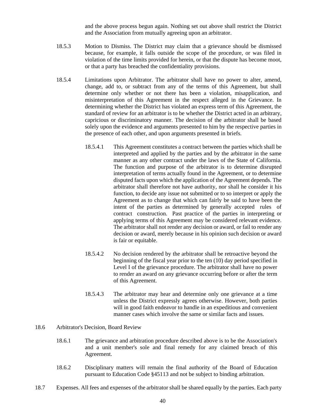and the above process begun again. Nothing set out above shall restrict the District and the Association from mutually agreeing upon an arbitrator.

- 18.5.3 Motion to Dismiss. The District may claim that a grievance should be dismissed because, for example, it falls outside the scope of the procedure, or was filed in violation of the time limits provided for herein, or that the dispute has become moot, or that a party has breached the confidentiality provisions.
- 18.5.4 Limitations upon Arbitrator. The arbitrator shall have no power to alter, amend, change, add to, or subtract from any of the terms of this Agreement, but shall determine only whether or not there has been a violation, misapplication, and misinterpretation of this Agreement in the respect alleged in the Grievance. In determining whether the District has violated an express term of this Agreement, the standard of review for an arbitrator is to be whether the District acted in an arbitrary, capricious or discriminatory manner. The decision of the arbitrator shall be based solely upon the evidence and arguments presented to him by the respective parties in the presence of each other, and upon arguments presented in briefs.
	- 18.5.4.1 This Agreement constitutes a contract between the parties which shall be interpreted and applied by the parties and by the arbitrator in the same manner as any other contract under the laws of the State of California. The function and purpose of the arbitrator is to determine disrupted interpretation of terms actually found in the Agreement, or to determine disputed facts upon which the application of the Agreement depends. The arbitrator shall therefore not have authority, nor shall he consider it his function, to decide any issue not submitted or to so interpret or apply the Agreement as to change that which can fairly be said to have been the intent of the parties as determined by generally accepted rules of contract construction. Past practice of the parties in interpreting or applying terms of this Agreement may be considered relevant evidence. The arbitrator shall not render any decision or award, or fail to render any decision or award, merely because in his opinion such decision or award is fair or equitable.
	- 18.5.4.2 No decision rendered by the arbitrator shall be retroactive beyond the beginning of the fiscal year prior to the ten (10) day period specified in Level I of the grievance procedure. The arbitrator shall have no power to render an award on any grievance occurring before or after the term of this Agreement.
	- 18.5.4.3 The arbitrator may hear and determine only one grievance at a time unless the District expressly agrees otherwise. However, both parties will in good faith endeavor to handle in an expeditious and convenient manner cases which involve the same or similar facts and issues.
- 18.6 Arbitrator's Decision, Board Review
	- 18.6.1 The grievance and arbitration procedure described above is to be the Association's and a unit member's sole and final remedy for any claimed breach of this Agreement.
	- 18.6.2 Disciplinary matters will remain the final authority of the Board of Education pursuant to Education Code §45113 and not be subject to binding arbitration.
- 18.7 Expenses. All fees and expenses of the arbitrator shall be shared equally by the parties. Each party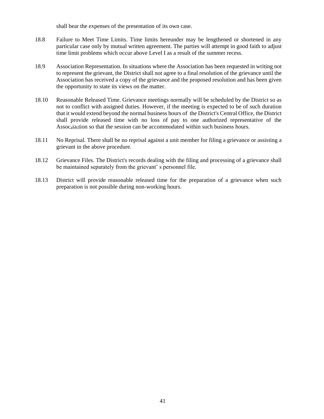shall bear the expenses of the presentation of its own case.

- 18.8 Failure to Meet Time Limits. Time limits hereunder may be lengthened or shortened in any particular case only by mutual written agreement. The parties will attempt in good faith to adjust time limit problems which occur above Level I as a result of the summer recess.
- 18.9 Association Representation. In situations where the Association has been requested in writing not to represent the grievant, the District shall not agree to a final resolution of the grievance until the Association has received a copy of the grievance and the proposed resolution and has been given the opportunity to state its views on the matter.
- 18.10 Reasonable Released Time. Grievance meetings normally will be scheduled by the District so as not to conflict with assigned duties. However, if the meeting is expected to be of such duration that it would extend beyond the normal business hours of the District's Central Office, the District shall provide released time with no loss of pay to one authorized representative of the Assoc<sub>4</sub>ia<sub>5</sub>tion so that the session can be accommodated within such business hours.
- 18.11 No Reprisal. There shall be no reprisal against a unit member for filing a grievance or assisting a grievant in the above procedure.
- 18.12 Grievance Files. The District's records dealing with the filing and processing of a grievance shall be maintained separately from the grievant' s personnel file.
- 18.13 District will provide reasonable released time for the preparation of a grievance when such preparation is not possible during non-working hours.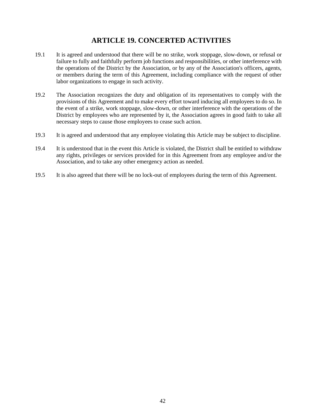## **ARTICLE 19. CONCERTED ACTIVITIES**

- <span id="page-41-0"></span>19.1 It is agreed and understood that there will be no strike, work stoppage, slow-down, or refusal or failure to fully and faithfully perform job functions and responsibilities, or other interference with the operations of the District by the Association, or by any of the Association's officers, agents, or members during the term of this Agreement, including compliance with the request of other labor organizations to engage in such activity.
- 19.2 The Association recognizes the duty and obligation of its representatives to comply with the provisions of this Agreement and to make every effort toward inducing all employees to do so. In the event of a strike, work stoppage, slow-down, or other interference with the operations of the District by employees who are represented by it, the Association agrees in good faith to take all necessary steps to cause those employees to cease such action.
- 19.3 It is agreed and understood that any employee violating this Article may be subject to discipline.
- 19.4 It is understood that in the event this Article is violated, the District shall be entitled to withdraw any rights, privileges or services provided for in this Agreement from any employee and/or the Association, and to take any other emergency action as needed.
- 19.5 It is also agreed that there will be no lock-out of employees during the term of this Agreement.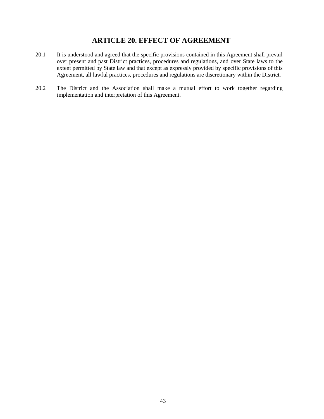## **ARTICLE 20. EFFECT OF AGREEMENT**

- <span id="page-42-0"></span>20.1 It is understood and agreed that the specific provisions contained in this Agreement shall prevail over present and past District practices, procedures and regulations, and over State laws to the extent permitted by State law and that except as expressly provided by specific provisions of this Agreement, all lawful practices, procedures and regulations are discretionary within the District.
- 20.2 The District and the Association shall make a mutual effort to work together regarding implementation and interpretation of this Agreement.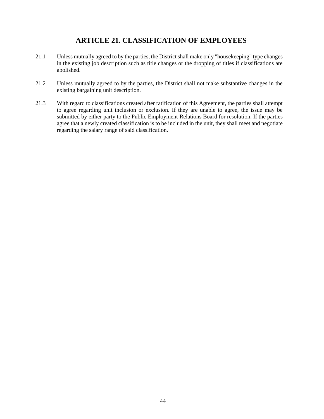## **ARTICLE 21. CLASSIFICATION OF EMPLOYEES**

- <span id="page-43-0"></span>21.1 Unless mutually agreed to by the parties, the District shall make only "housekeeping" type changes in the existing job description such as title changes or the dropping of titles if classifications are abolished.
- 21.2 Unless mutually agreed to by the parties, the District shall not make substantive changes in the existing bargaining unit description.
- 21.3 With regard to classifications created after ratification of this Agreement, the parties shall attempt to agree regarding unit inclusion or exclusion. If they are unable to agree, the issue may be submitted by either party to the Public Employment Relations Board for resolution. If the parties agree that a newly created classification is to be included in the unit, they shall meet and negotiate regarding the salary range of said classification.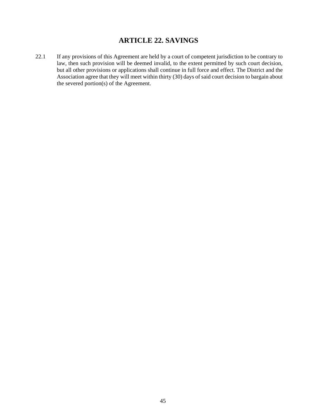## **ARTICLE 22. SAVINGS**

<span id="page-44-0"></span>22.1 If any provisions of this Agreement are held by a court of competent jurisdiction to be contrary to law, then such provision will be deemed invalid, to the extent permitted by such court decision, but all other provisions or applications shall continue in full force and effect. The District and the Association agree that they will meet within thirty (30) days of said court decision to bargain about the severed portion(s) of the Agreement.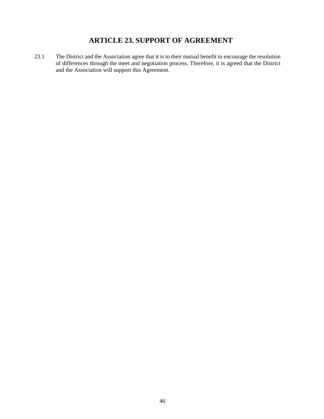## **ARTICLE 23. SUPPORT OF AGREEMENT**

<span id="page-45-0"></span>23.1 The District and the Association agree that it is to their mutual benefit to encourage the resolution of differences through the meet and negotiation process. Therefore, it is agreed that the District and the Association will support this Agreement.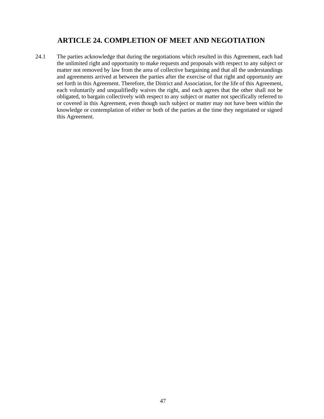## **ARTICLE 24. COMPLETION OF MEET AND NEGOTIATION**

<span id="page-46-0"></span>24.1 The parties acknowledge that during the negotiations which resulted in this Agreement, each had the unlimited right and opportunity to make requests and proposals with respect to any subject or matter not removed by law from the area of collective bargaining and that all the understandings and agreements arrived at between the parties after the exercise of that right and opportunity are set forth in this Agreement. Therefore, the District and Association, for the life of this Agreement, each voluntarily and unqualifiedly waives the right, and each agrees that the other shall not be obligated, to bargain collectively with respect to any subject or matter not specifically referred to or covered in this Agreement, even though such subject or matter may not have been within the knowledge or contemplation of either or both of the parties at the time they negotiated or signed this Agreement.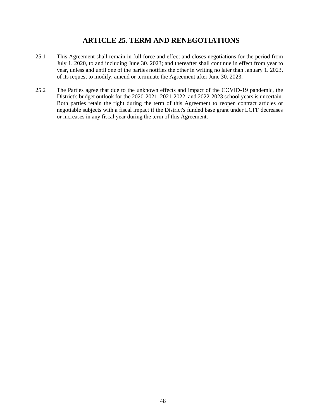## **ARTICLE 25. TERM AND RENEGOTIATIONS**

- <span id="page-47-0"></span>25.1 This Agreement shall remain in full force and effect and closes negotiations for the period from July 1. 2020, to and including June 30. 2023; and thereafter shall continue in effect from year to year, unless and until one of the parties notifies the other in writing no later than January 1. 2023, of its request to modify, amend or terminate the Agreement after June 30. 2023.
- 25.2 The Parties agree that due to the unknown effects and impact of the COVID-19 pandemic, the District's budget outlook for the 2020-2021, 2021-2022, and 2022-2023 school years is uncertain. Both parties retain the right during the term of this Agreement to reopen contract articles or negotiable subjects with a fiscal impact if the District's funded base grant under LCFF decreases or increases in any fiscal year during the term of this Agreement.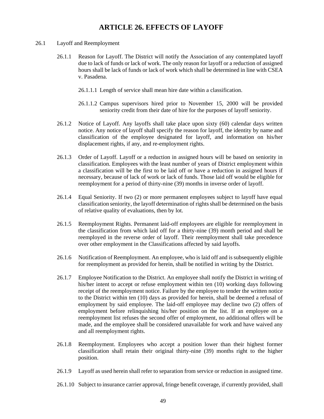## **ARTICLE 26. EFFECTS OF LAYOFF**

- <span id="page-48-0"></span>26.1 Layoff and Reemployment
	- 26.1.1 Reason for Layoff. The District will notify the Association of any contemplated layoff due to lack of funds or lack of work. The only reason for layoff or a reduction of assigned hours shall be lack of funds or lack of work which shall be determined in line with CSEA v. Pasadena.
		- 26.1.1.1 Length of service shall mean hire date within a classification.
		- 26.1.1.2 Campus supervisors hired prior to November 15, 2000 will be provided seniority credit from their date of hire for the purposes of layoff seniority.
	- 26.1.2 Notice of Layoff. Any layoffs shall take place upon sixty (60) calendar days written notice. Any notice of layoff shall specify the reason for layoff, the identity by name and classification of the employee designated for layoff, and information on his/her displacement rights, if any, and re-employment rights.
	- 26.1.3 Order of Layoff. Layoff or a reduction in assigned hours will be based on seniority in classification. Employees with the least number of years of District employment within a classification will be the first to be laid off or have a reduction in assigned hours if necessary, because of lack of work or lack of funds. Those laid off would be eligible for reemployment for a period of thirty-nine (39) months in inverse order of layoff.
	- 26.1.4 Equal Seniority. If two (2) or more permanent employees subject to layoff have equal classification seniority, the layoff determination of rights shall be determined on the basis of relative quality of evaluations, then by lot.
	- 26.1.5 Reemployment Rights. Permanent laid-off employees are eligible for reemployment in the classification from which laid off for a thirty-nine (39) month period and shall be reemployed in the reverse order of layoff. Their reemployment shall take precedence over other employment in the Classifications affected by said layoffs.
	- 26.1.6 Notification of Reemployment. An employee, who is laid off and is subsequently eligible for reemployment as provided for herein, shall be notified in writing by the District.
	- 26.1.7 Employee Notification to the District. An employee shall notify the District in writing of his/her intent to accept or refuse employment within ten (10) working days following receipt of the reemployment notice. Failure by the employee to tender the written notice to the District within ten (10) days as provided for herein, shall be deemed a refusal of employment by said employee. The laid-off employee may decline two (2) offers of employment before relinquishing his/her position on the list. If an employee on a reemployment list refuses the second offer of employment, no additional offers will be made, and the employee shall be considered unavailable for work and have waived any and all reemployment rights.
	- 26.1.8 Reemployment. Employees who accept a position lower than their highest former classification shall retain their original thirty-nine (39) months right to the higher position.
	- 26.1.9 Layoff as used herein shall refer to separation from service or reduction in assigned time.
	- 26.1.10 Subject to insurance carrier approval, fringe benefit coverage, if currently provided, shall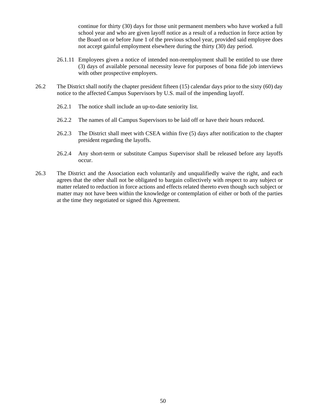continue for thirty (30) days for those unit permanent members who have worked a full school year and who are given layoff notice as a result of a reduction in force action by the Board on or before June 1 of the previous school year, provided said employee does not accept gainful employment elsewhere during the thirty (30) day period.

- 26.1.11 Employees given a notice of intended non-reemployment shall be entitled to use three (3) days of available personal necessity leave for purposes of bona fide job interviews with other prospective employers.
- 26.2 The District shall notify the chapter president fifteen (15) calendar days prior to the sixty (60) day notice to the affected Campus Supervisors by U.S. mail of the impending layoff.
	- 26.2.1 The notice shall include an up-to-date seniority list.
	- 26.2.2 The names of all Campus Supervisors to be laid off or have their hours reduced.
	- 26.2.3 The District shall meet with CSEA within five (5) days after notification to the chapter president regarding the layoffs.
	- 26.2.4 Any short-term or substitute Campus Supervisor shall be released before any layoffs occur.
- 26.3 The District and the Association each voluntarily and unqualifiedly waive the right, and each agrees that the other shall not be obligated to bargain collectively with respect to any subject or matter related to reduction in force actions and effects related thereto even though such subject or matter may not have been within the knowledge or contemplation of either or both of the parties at the time they negotiated or signed this Agreement.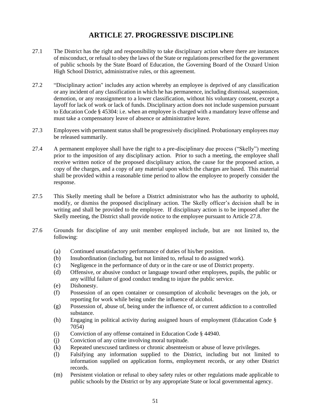## **ARTICLE 27. PROGRESSIVE DISCIPLINE**

- <span id="page-50-0"></span>27.1 The District has the right and responsibility to take disciplinary action where there are instances of misconduct, or refusal to obey the laws of the State or regulations prescribed for the government of public schools by the State Board of Education, the Governing Board of the Oxnard Union High School District, administrative rules, or this agreement.
- 27.2 "Disciplinary action" includes any action whereby an employee is deprived of any classification or any incident of any classification in which he has permanence, including dismissal, suspension, demotion, or any reassignment to a lower classification, without his voluntary consent, except a layoff for lack of work or lack of funds. Disciplinary action does not include suspension pursuant to Education Code § 45304: i.e. when an employee is charged with a mandatory leave offense and must take a compensatory leave of absence or administrative leave.
- 27.3 Employees with permanent status shall be progressively disciplined. Probationary employees may be released summarily.
- 27.4 A permanent employee shall have the right to a pre-disciplinary due process ("Skelly") meeting prior to the imposition of any disciplinary action. Prior to such a meeting, the employee shall receive written notice of the proposed disciplinary action, the cause for the proposed action, a copy of the charges, and a copy of any material upon which the charges are based. This material shall be provided within a reasonable time period to allow the employee to properly consider the response.
- 27.5 This Skelly meeting shall be before a District administrator who has the authority to uphold, modify, or dismiss the proposed disciplinary action. The Skelly officer's decision shall be in writing and shall be provided to the employee. If disciplinary action is to be imposed after the Skelly meeting, the District shall provide notice to the employee pursuant to Article 27.8.
- 27.6 Grounds for discipline of any unit member employed include, but are not limited to, the following:
	- (a) Continued unsatisfactory performance of duties of his/her position.
	- (b) Insubordination (including, but not limited to, refusal to do assigned work).
	- (c) Negligence in the performance of duty or in the care or use of District property.
	- (d) Offensive, or abusive conduct or language toward other employees, pupils, the public or any willful failure of good conduct tending to injure the public service.
	- (e) Dishonesty.
	- (f) Possession of an open container or consumption of alcoholic beverages on the job, or reporting for work while being under the influence of alcohol.
	- (g) Possession of, abuse of, being under the influence of, or current addiction to a controlled substance.
	- (h) Engaging in political activity during assigned hours of employment (Education Code § 7054)
	- (i) Conviction of any offense contained in Education Code § 44940.
	- (j) Conviction of any crime involving moral turpitude.
	- (k) Repeated unexcused tardiness or chronic absenteeism or abuse of leave privileges.
	- (l) Falsifying any information supplied to the District, including but not limited to information supplied on application forms, employment records, or any other District records.
	- (m) Persistent violation or refusal to obey safety rules or other regulations made applicable to public schools by the District or by any appropriate State or local governmental agency.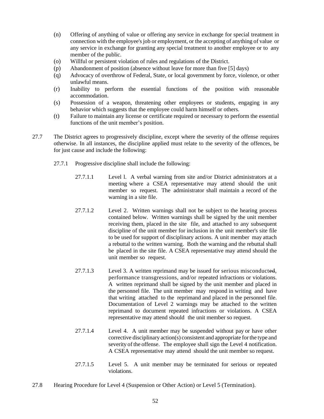- (n) Offering of anything of value or offering any service in exchange for special treatment in connection with the employee's job or employment, or the accepting of anything of value or any service in exchange for granting any special treatment to another employee or to any member of the public.
- (o) Willful or persistent violation of rules and regulations of the District.
- (p) Abandonment of position (absence without leave for more than five [5] days)
- (q) Advocacy of overthrow of Federal, State, or local government by force, violence, or other unlawful means.
- (r) Inability to perform the essential functions of the position with reasonable accommodation.
- (s) Possession of a weapon, threatening other employees or students, engaging in any behavior which suggests that the employee could harm himself or others.
- (t) Failure to maintain any license or certificate required or necessary to perform the essential functions of the unit member's position.
- 27.7 The District agrees to progressively discipline, except where the severity of the offense requires otherwise. In all instances, the discipline applied must relate to the severity of the offences, be for just cause and include the following:
	- 27.7.1 Progressive discipline shall include the following:
		- 27.7.1.1 Level l. A verbal warning from site and/or District administrators at a meeting where a CSEA representative may attend should the unit member so request. The administrator shall maintain a record of the warning in a site file.
		- 27.7.1.2 Level 2. Written warnings shall not be subject to the hearing process contained below. Written warnings shall be signed by the unit member receiving them, placed in the site file, and attached to any subsequent discipline of the unit member for inclusion in the unit member's site file to be used for support of disciplinary actions. A unit member may attach a rebuttal to the written warning. Both the warning and the rebuttal shall be placed in the site file. A CSEA representative may attend should the unit member so request.
		- 27.7.1.3 Level 3. A written reprimand may be issued for serious misconducted, performance transgressions, and/or repeated infractions or violations. A written reprimand shall be signed by the unit member and placed in the personnel file. The unit member may respond in writing and have that writing attached to the reprimand and placed in the personnel file. Documentation of Level 2 warnings may be attached to the written reprimand to document repeated infractions or violations. A CSEA representative may attend should the unit member so request.
		- 27.7.1.4 Level 4. A unit member may be suspended without pay or have other corrective disciplinary action(s) consistent and appropriate forthe type and severity of the offense. The employee shall sign the Level 4 notification. A CSEA representative may attend should the unit member so request.
		- 27.7.1.5 Level 5. A unit member may be terminated for serious or repeated violations.
- 27.8 Hearing Procedure for Level 4 (Suspension or Other Action) or Level 5 (Termination).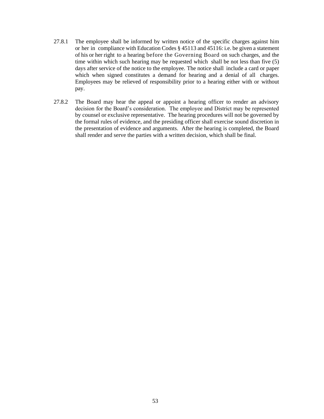- 27.8.1 The employee shall be informed by written notice of the specific charges against him or her in compliance with Education Codes § 45113 and 45116: i.e. be given a statement of his or her right to a hearing before the Governing Board on such charges, and the time within which such hearing may be requested which shall be not less than five (5) days after service of the notice to the employee. The notice shall include a card or paper which when signed constitutes a demand for hearing and a denial of all charges. Employees may be relieved of responsibility prior to a hearing either with or without pay.
- 27.8.2 The Board may hear the appeal or appoint a hearing officer to render an advisory decision for the Board's consideration. The employee and District may be represented by counsel or exclusive representative. The hearing procedures will not be governed by the formal rules of evidence, and the presiding officer shall exercise sound discretion in the presentation of evidence and arguments. After the hearing is completed, the Board shall render and serve the parties with a written decision, which shall be final.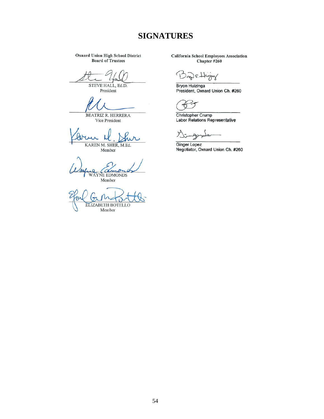## **SIGNATURES**

**Oxnard Union High School District Board of Trustees** 

STEVE HALL, Ed.D.

President

BEATRIZ R. HERRERA Vice President

KAREN M. SHER, M.Ed.

Member

WAYNE EDMONDS

Member

**ELIZABETH BOTELLO** Member

**California School Employees Association** Chapter #260

and s High

Bryon Huizinga<br>President, Oxnard Union Ch. #260

Christopher Crump<br>Labor Relations Representative

У. A  $\sim$ 

Ginger Lopez<br>Negotiator, Oxnard Union Ch. #260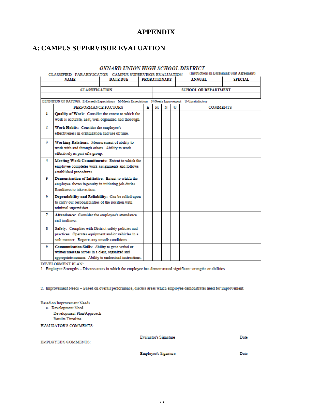## **APPENDIX**

## <span id="page-54-0"></span>**A: CAMPUS SUPERVISOR EVALUATION**

#### OXNARD UNION HIGH SCHOOL DISTRICT

CLASSIFIED - PARAEDUCATOR - CAMPUS SUPERVISOR EVALUATION (Instructions in Bargaining Unit Agreement)

| <b>DATE DUE</b><br><b>NAME</b>                      |                                                         | <b>PROBATIONARY</b> |  |                                                                                                         | <b>ANNUAL</b>               | <b>SPECIAL</b> |                 |  |  |
|-----------------------------------------------------|---------------------------------------------------------|---------------------|--|---------------------------------------------------------------------------------------------------------|-----------------------------|----------------|-----------------|--|--|
|                                                     |                                                         |                     |  |                                                                                                         |                             |                |                 |  |  |
| <b>CLASSIFICATION</b>                               |                                                         |                     |  |                                                                                                         | <b>SCHOOL OR DEPARTMENT</b> |                |                 |  |  |
|                                                     |                                                         |                     |  |                                                                                                         |                             |                |                 |  |  |
|                                                     |                                                         |                     |  | DEFINITION OF RATINGS: E-Exceeds Expectations M-Meets Expectations N-Needs Improvement U-Unsatisfactory |                             |                |                 |  |  |
|                                                     | PERFORMANCE FACTORS                                     |                     |  | м                                                                                                       | N                           | U              | <b>COMMENTS</b> |  |  |
| ı                                                   | Quality of Work: Consider the extent to which the       |                     |  |                                                                                                         |                             |                |                 |  |  |
|                                                     | work is accurate, neat, well organized and thorough.    |                     |  |                                                                                                         |                             |                |                 |  |  |
| $\mathbf{2}$                                        | Work Habits: Consider the employee's                    |                     |  |                                                                                                         |                             |                |                 |  |  |
|                                                     | effectiveness in organization and use of time.          |                     |  |                                                                                                         |                             |                |                 |  |  |
| 3                                                   | Working Relations: Measurement of ability to            |                     |  |                                                                                                         |                             |                |                 |  |  |
|                                                     | work with and through others. Ability to work           |                     |  |                                                                                                         |                             |                |                 |  |  |
|                                                     | effectively as part of a group.                         |                     |  |                                                                                                         |                             |                |                 |  |  |
| 4                                                   | Meeting Work Commitments: Extent to which the           |                     |  |                                                                                                         |                             |                |                 |  |  |
|                                                     | employee completes work assignments and follows         |                     |  |                                                                                                         |                             |                |                 |  |  |
|                                                     | established procedures.                                 |                     |  |                                                                                                         |                             |                |                 |  |  |
| 5                                                   | Demonstration of Initiative: Extent to which the        |                     |  |                                                                                                         |                             |                |                 |  |  |
|                                                     | employee shows ingenuity in initiating job duties.      |                     |  |                                                                                                         |                             |                |                 |  |  |
|                                                     | Readiness to take action.                               |                     |  |                                                                                                         |                             |                |                 |  |  |
| 6                                                   | Dependability and Reliability: Can be relied upon       |                     |  |                                                                                                         |                             |                |                 |  |  |
|                                                     | to carry out responsibilities of the position with      |                     |  |                                                                                                         |                             |                |                 |  |  |
|                                                     | minimal supervision.                                    |                     |  |                                                                                                         |                             |                |                 |  |  |
| 7<br>Attendance: Consider the employee's attendance |                                                         |                     |  |                                                                                                         |                             |                |                 |  |  |
|                                                     | and tardiness                                           |                     |  |                                                                                                         |                             |                |                 |  |  |
| 8                                                   | Safety: Complies with District safety policies and      |                     |  |                                                                                                         |                             |                |                 |  |  |
| practices. Operates equipment and/or vehicles in a  |                                                         |                     |  |                                                                                                         |                             |                |                 |  |  |
|                                                     | safe manner. Reports any unsafe conditions.             |                     |  |                                                                                                         |                             |                |                 |  |  |
| ۰                                                   | Communication Skills: Ability to get a verbal or        |                     |  |                                                                                                         |                             |                |                 |  |  |
|                                                     | written message across in a clear, organized and        |                     |  |                                                                                                         |                             |                |                 |  |  |
|                                                     | appropriate manner. Ability to understand instructions. |                     |  |                                                                                                         |                             |                |                 |  |  |

DEVELOPMENT PLAN:

1. Employee Strengths - Discuss areas in which the employee has demonstrated significant strengths or abilities.

2. Improvement Needs - Based on overall performance, discuss areas which employee demonstrates need for improvement.

#### **Based on Improvement Needs**

a. Development Need Development Plan/Approach **Results Timeline** 

**EVALUATOR'S COMMENTS:** 

**EMPLOYEE'S COMMENTS:** 

**Evaluator's Signature** 

Date

**Employee's Signature** 

Date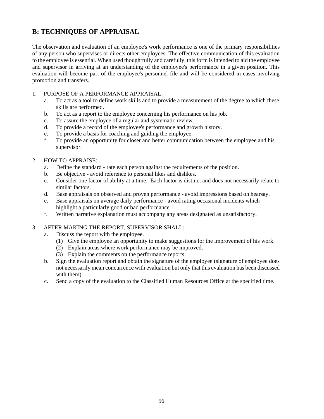## **B: TECHNIQUES OF APPRAISAL**

The observation and evaluation of an employee's work performance is one of the primary responsibilities of any person who supervises or directs other employees. The effective communication of this evaluation to the employee is essential. When used thoughtfully and carefully, this form is intended to aid the employee and supervisor in arriving at an understanding of the employee's performance in a given position. This evaluation will become part of the employee's personnel file and will be considered in cases involving promotion and transfers.

## 1. PURPOSE OF A PERFORMANCE APPRAISAL:

- a. To act as a tool to define work skills and to provide a measurement of the degree to which these skills are performed.
- b. To act as a report to the employee concerning his performance on his job.
- c. To assure the employee of a regular and systematic review.
- d. To provide a record of the employee's performance and growth history.
- e. To provide a basis for coaching and guiding the employee.
- f. To provide an opportunity for closer and better communication between the employee and his supervisor.

## 2. HOW TO APPRAISE:

- a. Define the standard rate each person against the requirements of the position.
- b. Be objective avoid reference to personal likes and dislikes.
- c. Consider one factor of ability at a time. Each factor is distinct and does not necessarily relate to similar factors.
- d. Base appraisals on observed and proven performance avoid impressions based on hearsay.
- e. Base appraisals on average daily performance avoid rating occasional incidents which highlight a particularly good or bad performance.
- f. Written narrative explanation must accompany any areas designated as unsatisfactory.

## 3. AFTER MAKING THE REPORT, SUPERVISOR SHALL:

- a. Discuss the report with the employee.
	- (1) Give the employee an opportunity to make suggestions for the improvement of his work.
	- (2) Explain areas where work performance may be improved.
	- (3) Explain the comments on the performance reports.
- b. Sign the evaluation report and obtain the signature of the employee (signature of employee does not necessarily mean concurrence with evaluation but only that this evaluation has been discussed with them).
- c. Send a copy of the evaluation to the Classified Human Resources Office at the specified time.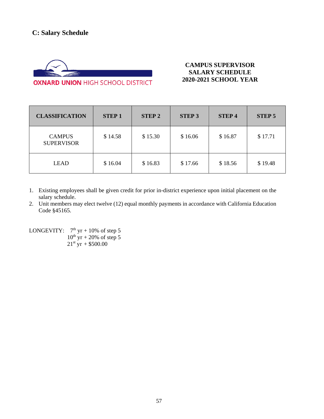

**OXNARD UNION HIGH SCHOOL DISTRICT** 

## **CAMPUS SUPERVISOR SALARY SCHEDULE 2020-2021 SCHOOL YEAR**

| <b>CLASSIFICATION</b>              | <b>STEP1</b> | <b>STEP 2</b> | <b>STEP 3</b> | <b>STEP4</b> | <b>STEP 5</b> |
|------------------------------------|--------------|---------------|---------------|--------------|---------------|
| <b>CAMPUS</b><br><b>SUPERVISOR</b> | \$14.58      | \$15.30       | \$16.06       | \$16.87      | \$17.71       |
| <b>LEAD</b>                        | \$16.04      | \$16.83       | \$17.66       | \$18.56      | \$19.48       |

- 1. Existing employees shall be given credit for prior in-district experience upon initial placement on the salary schedule.
- 2. Unit members may elect twelve (12) equal monthly payments in accordance with California Education Code §45165.

LONGEVITY:  $7<sup>th</sup>$  yr + 10% of step 5  $10^{th}$  yr + 20% of step 5  $21^{st}$  yr + \$500.00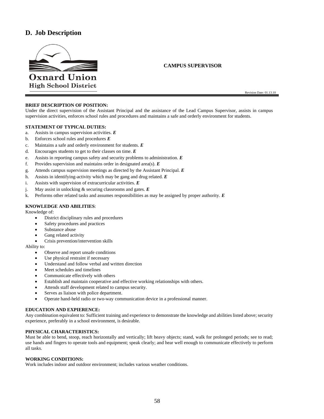## **D. Job Description**



#### **CAMPUS SUPERVISOR**

Revision Date: 01.13.10

#### **BRIEF DESCRIPTION OF POSITION:**

Under the direct supervision of the Assistant Principal and the assistance of the Lead Campus Supervisor, assists in campus supervision activities, enforces school rules and procedures and maintains a safe and orderly environment for students.

#### **STATEMENT OF TYPICAL DUTIES:**

- a. Assists in campus supervision activities. *E*
- b. Enforces school rules and procedures *E*
- c. Maintains a safe and orderly environment for students. *E*
- d. Encourages students to get to their classes on time. *E*
- e. Assists in reporting campus safety and security problems to administration. *E*
- f. Provides supervision and maintains order in designated area(s). *E*
- g. Attends campus supervision meetings as directed by the Assistant Principal. *E*
- h. Assists in identifying-activity which may be gang and drug related. *E*
- i. Assists with supervision of extracurricular activities. *E*
- j. May assist in unlocking & securing classrooms and gates. *E*
- k. Performs other related tasks and assumes responsibilities as may be assigned by proper authority. *E*

#### **KNOWLEDGE AND ABILITIES**:

Knowledge of:

- District disciplinary rules and procedures
- Safety procedures and practices
- Substance abuse
- Gang related activity
- Crisis prevention/intervention skills

Ability to:

- Observe and report unsafe conditions
- Use physical restraint if necessary
- Understand and follow verbal and written direction
- Meet schedules and timelines
- Communicate effectively with others
- Establish and maintain cooperative and effective working relationships with others.
- Attends staff development related to campus security.
- Serves as liaison with police department.
- Operate hand-held radio or two-way communication device in a professional manner.

#### **EDUCATION AND EXPIERENCE:**

Any combination equivalent to: Sufficient training and experience to demonstrate the knowledge and abilities listed above; security experience, preferably in a school environment, is desirable.

#### **PHYSICAL CHARACTERISTICS:**

Must be able to bend, stoop, reach horizontally and vertically; lift heavy objects; stand, walk for prolonged periods; see to read; use hands and fingers to operate tools and equipment; speak clearly; and hear well enough to communicate effectively to perform all tasks.

#### **WORKING CONDITIONS:**

Work includes indoor and outdoor environment; includes various weather conditions.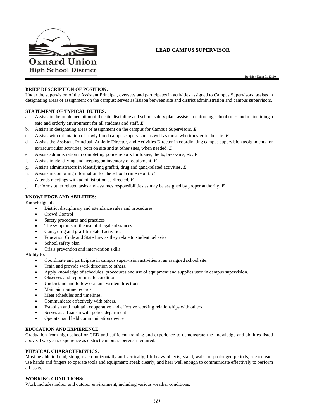

#### **LEAD CAMPUS SUPERVISOR**

#### **BRIEF DESCRIPTION OF POSITION:**

Under the supervision of the Assistant Principal, oversees and participates in activities assigned to Campus Supervisors; assists in designating areas of assignment on the campus; serves as liaison between site and district administration and campus supervisors.

#### **STATEMENT OF TYPICAL DUTIES:**

- a. Assists in the implementation of the site discipline and school safety plan; assists in enforcing school rules and maintaining a safe and orderly environment for all students and staff. *E*
- b. Assists in designating areas of assignment on the campus for Campus Supervisors. *E*
- c. Assists with orientation of newly hired campus supervisors as well as those who transfer to the site. *E*
- d. Assists the Assistant Principal, Athletic Director, and Activities Director in coordinating campus supervision assignments for extracurricular activities, both on site and at other sites, when needed. *E*
- e. Assists administration in completing police reports for losses, thefts, break-ins, etc. *E*
- f. Assists in identifying and keeping an inventory of equipment. *E*
- g. Assists administrators in identifying graffiti, drug and gang-related activities. *E*
- h. Assists in compiling information for the school crime report. *E*
- i. Attends meetings with administration as directed. *E*
- j. Performs other related tasks and assumes responsibilities as may be assigned by proper authority. *E*

#### **KNOWLEDGE AND ABILITIES**:

Knowledge of:

- District disciplinary and attendance rules and procedures
- Crowd Control
- Safety procedures and practices
- The symptoms of the use of illegal substances
- Gang, drug and graffiti-related activities
- Education Code and State Law as they relate to student behavior
- School safety plan
- Crisis prevention and intervention skills

Ability to:

- Coordinate and participate in campus supervision activities at an assigned school site.
- Train and provide work direction to others.
- Apply knowledge of schedules, procedures and use of equipment and supplies used in campus supervision.
- Observes and report unsafe conditions.
- Understand and follow oral and written directions.
- Maintain routine records.
- Meet schedules and timelines.
- Communicate effectively with others.
- Establish and maintain cooperative and effective working relationships with others.
- Serves as a Liaison with police department
- Operate hand held communication device

#### **EDUCATION AND EXPIERENCE:**

Graduation from high school or GED and sufficient training and experience to demonstrate the knowledge and abilities listed above. Two years experience as district campus supervisor required.

#### **PHYSICAL CHARACTERISTICS:**

Must be able to bend, stoop, reach horizontally and vertically; lift heavy objects; stand, walk for prolonged periods; see to read; use hands and fingers to operate tools and equipment; speak clearly; and hear well enough to communicate effectively to perform all tasks.

#### **WORKING CONDITIONS:**

Work includes indoor and outdoor environment, including various weather conditions.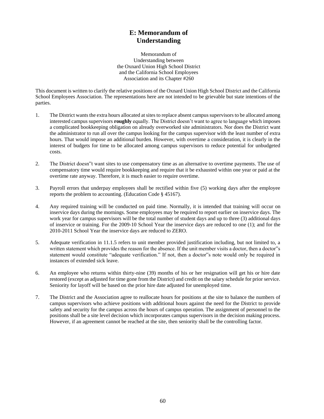## **E: Memorandum of Understanding**

Memorandum of Understanding between the Oxnard Union High School District and the California School Employees Association and its Chapter #260

This document is written to clarify the relative positions of the Oxnard Union High School District and the California School Employees Association. The representations here are not intended to be grievable but state intentions of the parties.

- 1. The District wants the extra hours allocated at sites to replace absent campus supervisors to be allocated among interested campus supervisors **roughly** equally. The District doesn't want to agree to language which imposes a complicated bookkeeping obligation on already overworked site administrators. Nor does the District want the administrator to run all over the campus looking for the campus supervisor with the least number of extra hours. That would impose an additional burden. However, with overtime a consideration, it is clearly in the interest of budgets for time to be allocated among campus supervisors to reduce potential for unbudgeted costs.
- 2. The District doesn"t want sites to use compensatory time as an alternative to overtime payments. The use of compensatory time would require bookkeeping and require that it be exhausted within one year or paid at the overtime rate anyway. Therefore, it is much easier to require overtime.
- 3. Payroll errors that underpay employees shall be rectified within five (5) working days after the employee reports the problem to accounting. (Education Code § 45167).
- 4. Any required training will be conducted on paid time. Normally, it is intended that training will occur on inservice days during the mornings. Some employees may be required to report earlier on inservice days. The work year for campus supervisors will be the total number of student days and up to three (3) additional days of inservice or training. For the 2009-10 School Year the inservice days are reduced to one (1); and for the 2010-2011 School Year the inservice days are reduced to ZERO.
- 5. Adequate verification in 11.1.5 refers to unit member provided justification including, but not limited to, a written statement which provides the reason for the absence. If the unit member visits a doctor, then a doctor"s statement would constitute "adequate verification." If not, then a doctor"s note would only be required in instances of extended sick leave.
- 6. An employee who returns within thirty-nine (39) months of his or her resignation will get his or hire date restored (except as adjusted for time gone from the District) and credit on the salary schedule for prior service. Seniority for layoff will be based on the prior hire date adjusted for unemployed time.
- 7. The District and the Association agree to reallocate hours for positions at the site to balance the numbers of campus supervisors who achieve positions with additional hours against the need for the District to provide safety and security for the campus across the hours of campus operation. The assignment of personnel to the positions shall be a site level decision which incorporates campus supervisors in the decision making process. However, if an agreement cannot be reached at the site, then seniority shall be the controlling factor.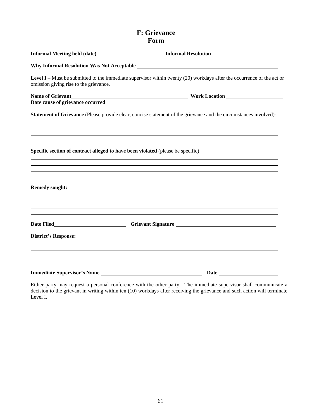## **F: Grievance Form**

| Informal Meeting held (date) _____________________________ Informal Resolution  |                                                                                                                                                                       |  |  |  |
|---------------------------------------------------------------------------------|-----------------------------------------------------------------------------------------------------------------------------------------------------------------------|--|--|--|
|                                                                                 |                                                                                                                                                                       |  |  |  |
| omission giving rise to the grievance.                                          | <b>Level I</b> – Must be submitted to the immediate supervisor within twenty $(20)$ workdays after the occurrence of the act or                                       |  |  |  |
|                                                                                 |                                                                                                                                                                       |  |  |  |
|                                                                                 |                                                                                                                                                                       |  |  |  |
|                                                                                 | Statement of Grievance (Please provide clear, concise statement of the grievance and the circumstances involved):                                                     |  |  |  |
|                                                                                 | ,我们也不会有什么。""我们的人,我们也不会有什么?""我们的人,我们也不会有什么?""我们的人,我们也不会有什么?""我们的人,我们也不会有什么?""我们的人<br>,我们也不会有一个人的人,我们也不会有一个人的人,我们也不会有一个人的人,我们也不会有一个人的人,我们也不会有一个人的人。""我们的人,我们也不会有一个人的人,我 |  |  |  |
| Specific section of contract alleged to have been violated (please be specific) |                                                                                                                                                                       |  |  |  |
|                                                                                 | ,我们也不会有什么。""我们的人,我们也不会有什么?""我们的人,我们也不会有什么?""我们的人,我们也不会有什么?""我们的人,我们也不会有什么?""我们的人                                                                                      |  |  |  |
| <b>Remedy sought:</b>                                                           |                                                                                                                                                                       |  |  |  |
|                                                                                 | ,我们也不会有什么。""我们的人,我们也不会有什么?""我们的人,我们也不会有什么?""我们的人,我们也不会有什么?""我们的人,我们也不会有什么?""我们的人<br>,我们也不会有什么。""我们的人,我们也不会有什么?""我们的人,我们也不会有什么?""我们的人,我们也不会有什么?""我们的人,我们也不会有什么?""我们的人  |  |  |  |
|                                                                                 |                                                                                                                                                                       |  |  |  |
| <b>District's Response:</b>                                                     |                                                                                                                                                                       |  |  |  |
|                                                                                 | ,我们也不会有什么。""我们的人,我们也不会有什么?""我们的人,我们也不会有什么?""我们的人,我们也不会有什么?""我们的人,我们也不会有什么?""我们的人                                                                                      |  |  |  |
|                                                                                 |                                                                                                                                                                       |  |  |  |

Either party may request a personal conference with the other party. The immediate supervisor shall communicate a decision to the grievant in writing within ten (10) workdays after receiving the grievance and such action will terminate Level I.